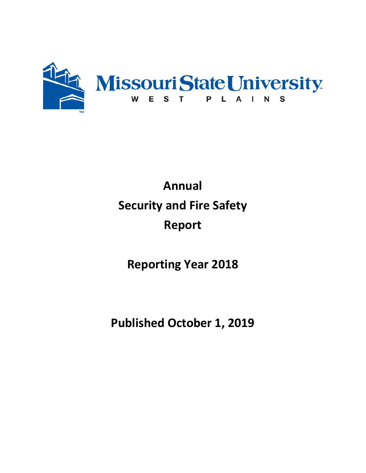

# **Annual Security and Fire Safety Report**

**Reporting Year 2018**

**Published October 1, 2019**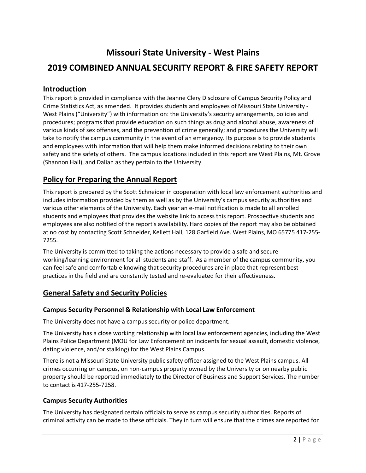# **Missouri State University - West Plains**

# **2019 COMBINED ANNUAL SECURITY REPORT & FIRE SAFETY REPORT**

# **Introduction**

This report is provided in compliance with the Jeanne Clery Disclosure of Campus Security Policy and Crime Statistics Act, as amended. It provides students and employees of Missouri State University - West Plains ("University") with information on: the University's security arrangements, policies and procedures; programs that provide education on such things as drug and alcohol abuse, awareness of various kinds of sex offenses, and the prevention of crime generally; and procedures the University will take to notify the campus community in the event of an emergency. Its purpose is to provide students and employees with information that will help them make informed decisions relating to their own safety and the safety of others. The campus locations included in this report are West Plains, Mt. Grove (Shannon Hall), and Dalian as they pertain to the University.

# **Policy for Preparing the Annual Report**

This report is prepared by the Scott Schneider in cooperation with local law enforcement authorities and includes information provided by them as well as by the University's campus security authorities and various other elements of the University. Each year an e-mail notification is made to all enrolled students and employees that provides the website link to access this report. Prospective students and employees are also notified of the report's availability. Hard copies of the report may also be obtained at no cost by contacting Scott Schneider, Kellett Hall, 128 Garfield Ave. West Plains, MO 65775 417-255- 7255.

The University is committed to taking the actions necessary to provide a safe and secure working/learning environment for all students and staff. As a member of the campus community, you can feel safe and comfortable knowing that security procedures are in place that represent best practices in the field and are constantly tested and re-evaluated for their effectiveness.

# **General Safety and Security Policies**

#### **Campus Security Personnel & Relationship with Local Law Enforcement**

The University does not have a campus security or police department.

The University has a close working relationship with local law enforcement agencies, including the West Plains Police Department (MOU for Law Enforcement on incidents for sexual assault, domestic violence, dating violence, and/or stalking) for the West Plains Campus.

There is not a Missouri State University public safety officer assigned to the West Plains campus. All crimes occurring on campus, on non-campus property owned by the University or on nearby public property should be reported immediately to the Director of Business and Support Services. The number to contact is 417-255-7258.

#### **Campus Security Authorities**

The University has designated certain officials to serve as campus security authorities. Reports of criminal activity can be made to these officials. They in turn will ensure that the crimes are reported for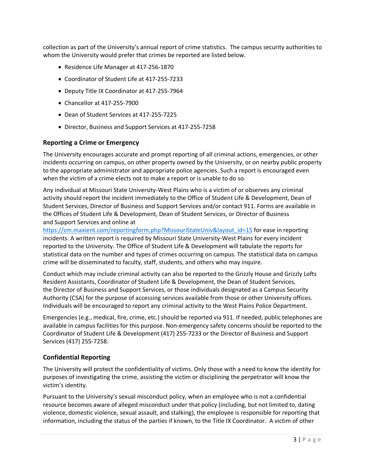collection as part of the University's annual report of crime statistics. The campus security authorities to whom the University would prefer that crimes be reported are listed below.

- Residence Life Manager at 417-256-1870
- Coordinator of Student Life at 417-255-7233
- Deputy Title IX Coordinator at 417-255-7964
- Chancellor at 417-255-7900
- Dean of Student Services at 417-255-7225
- Director, Business and Support Services at 417-255-7258

#### **Reporting a Crime or Emergency**

The University encourages accurate and prompt reporting of all criminal actions, emergencies, or other incidents occurring on campus, on other property owned by the University, or on nearby public property to the appropriate administrator and appropriate police agencies. Such a report is encouraged even when the victim of a crime elects not to make a report or is unable to do so.

Any individual at Missouri State University-West Plains who is a victim of or observes any criminal activity should report the incident immediately to the Office of Student Life & Development, Dean of Student Services, Director of Business and Support Services and/or contact 911. Forms are available in the Offices of Student Life & Development, Dean of Student Services, or Director of Business and Support Services and online at

[https://cm.maxient.com/reportingform.php?MissouriStateUniv&layout\\_id=15](https://cm.maxient.com/reportingform.php?MissouriStateUniv&layout_id=15) for ease in reporting incidents. A written report is required by Missouri State University-West Plains for every incident reported to the University. The Office of Student Life & Development will tabulate the reports for statistical data on the number and types of crimes occurring on campus. The statistical data on campus crime will be disseminated to faculty, staff, students, and others who may inquire.

Conduct which may include criminal activity can also be reported to the Grizzly House and Grizzly Lofts Resident Assistants, Coordinator of Student Life & Development, the Dean of Student Services, the Director of Business and Support Services, or those individuals designated as a Campus Security Authority (CSA) for the purpose of accessing services available from those or other University offices. Individuals will be encouraged to report any criminal activity to the West Plains Police Department.

Emergencies (e.g., medical, fire, crime, etc.) should be reported via 911. If needed, public telephones are available in campus facilities for this purpose. Non-emergency safety concerns should be reported to the Coordinator of Student Life & Development (417) 255-7233 or the Director of Business and Support Services (417) 255-7258.

#### **Confidential Reporting**

The University will protect the confidentiality of victims. Only those with a need to know the identity for purposes of investigating the crime, assisting the victim or disciplining the perpetrator will know the victim's identity.

Pursuant to the University's sexual misconduct policy, when an employee who is not a confidential resource becomes aware of alleged misconduct under that policy (including, but not limited to, dating violence, domestic violence, sexual assault, and stalking), the employee is responsible for reporting that information, including the status of the parties if known, to the Title IX Coordinator. A victim of other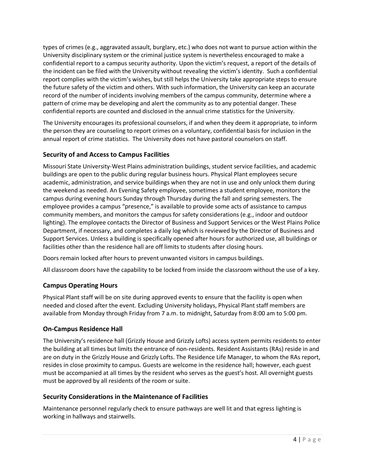types of crimes (e.g., aggravated assault, burglary, etc.) who does not want to pursue action within the University disciplinary system or the criminal justice system is nevertheless encouraged to make a confidential report to a campus security authority. Upon the victim's request, a report of the details of the incident can be filed with the University without revealing the victim's identity. Such a confidential report complies with the victim's wishes, but still helps the University take appropriate steps to ensure the future safety of the victim and others. With such information, the University can keep an accurate record of the number of incidents involving members of the campus community, determine where a pattern of crime may be developing and alert the community as to any potential danger. These confidential reports are counted and disclosed in the annual crime statistics for the University.

The University encourages its professional counselors, if and when they deem it appropriate, to inform the person they are counseling to report crimes on a voluntary, confidential basis for inclusion in the annual report of crime statistics. The University does not have pastoral counselors on staff.

# **Security of and Access to Campus Facilities**

Missouri State University-West Plains administration buildings, student service facilities, and academic buildings are open to the public during regular business hours. Physical Plant employees secure academic, administration, and service buildings when they are not in use and only unlock them during the weekend as needed. An Evening Safety employee, sometimes a student employee, monitors the campus during evening hours Sunday through Thursday during the fall and spring semesters. The employee provides a campus "presence," is available to provide some acts of assistance to campus community members, and monitors the campus for safety considerations (e.g., indoor and outdoor lighting). The employee contacts the Director of Business and Support Services or the West Plains Police Department, if necessary, and completes a daily log which is reviewed by the Director of Business and Support Services. Unless a building is specifically opened after hours for authorized use, all buildings or facilities other than the residence hall are off limits to students after closing hours.

Doors remain locked after hours to prevent unwanted visitors in campus buildings.

All classroom doors have the capability to be locked from inside the classroom without the use of a key.

#### **Campus Operating Hours**

Physical Plant staff will be on site during approved events to ensure that the facility is open when needed and closed after the event. Excluding University holidays, Physical Plant staff members are available from Monday through Friday from 7 a.m. to midnight, Saturday from 8:00 am to 5:00 pm.

#### **On-Campus Residence Hall**

The University's residence hall (Grizzly House and Grizzly Lofts) access system permits residents to enter the building at all times but limits the entrance of non-residents. Resident Assistants (RAs) reside in and are on duty in the Grizzly House and Grizzly Lofts. The Residence Life Manager, to whom the RAs report, resides in close proximity to campus. Guests are welcome in the residence hall; however, each guest must be accompanied at all times by the resident who serves as the guest's host. All overnight guests must be approved by all residents of the room or suite.

#### **Security Considerations in the Maintenance of Facilities**

Maintenance personnel regularly check to ensure pathways are well lit and that egress lighting is working in hallways and stairwells.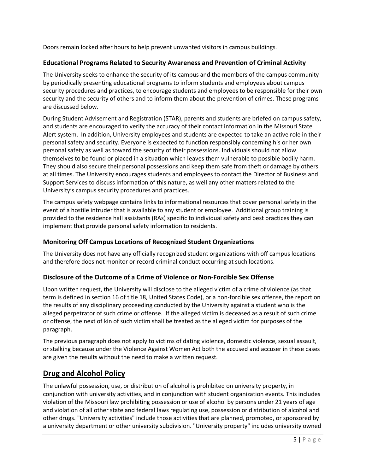Doors remain locked after hours to help prevent unwanted visitors in campus buildings.

# **Educational Programs Related to Security Awareness and Prevention of Criminal Activity**

The University seeks to enhance the security of its campus and the members of the campus community by periodically presenting educational programs to inform students and employees about campus security procedures and practices, to encourage students and employees to be responsible for their own security and the security of others and to inform them about the prevention of crimes. These programs are discussed below.

During Student Advisement and Registration (STAR), parents and students are briefed on campus safety, and students are encouraged to verify the accuracy of their contact information in the Missouri State Alert system. In addition, University employees and students are expected to take an active role in their personal safety and security. Everyone is expected to function responsibly concerning his or her own personal safety as well as toward the security of their possessions. Individuals should not allow themselves to be found or placed in a situation which leaves them vulnerable to possible bodily harm. They should also secure their personal possessions and keep them safe from theft or damage by others at all times. The University encourages students and employees to contact the Director of Business and Support Services to discuss information of this nature, as well any other matters related to the University's campus security procedures and practices.

The campus safety webpage contains links to informational resources that cover personal safety in the event of a hostile intruder that is available to any student or employee. Additional group training is provided to the residence hall assistants (RAs) specific to individual safety and best practices they can implement that provide personal safety information to residents.

# **Monitoring Off Campus Locations of Recognized Student Organizations**

The University does not have any officially recognized student organizations with off campus locations and therefore does not monitor or record criminal conduct occurring at such locations.

# **Disclosure of the Outcome of a Crime of Violence or Non-Forcible Sex Offense**

Upon written request, the University will disclose to the alleged victim of a crime of violence (as that term is defined in section 16 of title 18, United States Code), or a non-forcible sex offense, the report on the results of any disciplinary proceeding conducted by the University against a student who is the alleged perpetrator of such crime or offense. If the alleged victim is deceased as a result of such crime or offense, the next of kin of such victim shall be treated as the alleged victim for purposes of the paragraph.

The previous paragraph does not apply to victims of dating violence, domestic violence, sexual assault, or stalking because under the Violence Against Women Act both the accused and accuser in these cases are given the results without the need to make a written request.

# **Drug and Alcohol Policy**

The unlawful possession, use, or distribution of alcohol is prohibited on university property, in conjunction with university activities, and in conjunction with student organization events. This includes violation of the Missouri law prohibiting possession or use of alcohol by persons under 21 years of age and violation of all other state and federal laws regulating use, possession or distribution of alcohol and other drugs. "University activities" include those activities that are planned, promoted, or sponsored by a university department or other university subdivision. "University property" includes university owned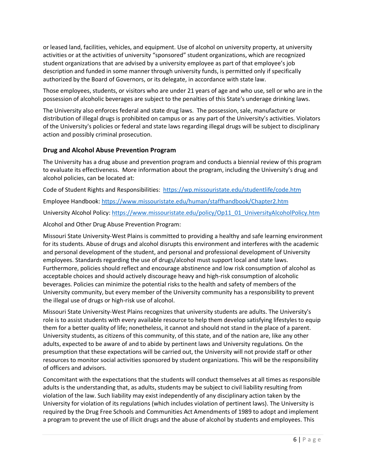or leased land, facilities, vehicles, and equipment. Use of alcohol on university property, at university activities or at the activities of university "sponsored" student organizations, which are recognized student organizations that are advised by a university employee as part of that employee's job description and funded in some manner through university funds, is permitted only if specifically authorized by the Board of Governors, or its delegate, in accordance with state law.

Those employees, students, or visitors who are under 21 years of age and who use, sell or who are in the possession of alcoholic beverages are subject to the penalties of this State's underage drinking laws.

The University also enforces federal and state drug laws. The possession, sale, manufacture or distribution of illegal drugs is prohibited on campus or as any part of the University's activities. Violators of the University's policies or federal and state laws regarding illegal drugs will be subject to disciplinary action and possibly criminal prosecution.

### **Drug and Alcohol Abuse Prevention Program**

The University has a drug abuse and prevention program and conducts a biennial review of this program to evaluate its effectiveness. More information about the program, including the University's drug and alcohol policies, can be located at:

Code of Student Rights and Responsibilities: <https://wp.missouristate.edu/studentlife/code.htm>

Employee Handbook:<https://www.missouristate.edu/human/staffhandbook/Chapter2.htm>

University Alcohol Policy: [https://www.missouristate.edu/policy/Op11\\_01\\_UniversityAlcoholPolicy.htm](https://www.missouristate.edu/policy/Op11_01_UniversityAlcoholPolicy.htm)

Alcohol and Other Drug Abuse Prevention Program:

Missouri State University-West Plains is committed to providing a healthy and safe learning environment for its students. Abuse of drugs and alcohol disrupts this environment and interferes with the academic and personal development of the student, and personal and professional development of University employees. Standards regarding the use of drugs/alcohol must support local and state laws. Furthermore, policies should reflect and encourage abstinence and low risk consumption of alcohol as acceptable choices and should actively discourage heavy and high-risk consumption of alcoholic beverages. Policies can minimize the potential risks to the health and safety of members of the University community, but every member of the University community has a responsibility to prevent the illegal use of drugs or high-risk use of alcohol.

Missouri State University-West Plains recognizes that university students are adults. The University's role is to assist students with every available resource to help them develop satisfying lifestyles to equip them for a better quality of life; nonetheless, it cannot and should not stand in the place of a parent. University students, as citizens of this community, of this state, and of the nation are, like any other adults, expected to be aware of and to abide by pertinent laws and University regulations. On the presumption that these expectations will be carried out, the University will not provide staff or other resources to monitor social activities sponsored by student organizations. This will be the responsibility of officers and advisors.

Concomitant with the expectations that the students will conduct themselves at all times as responsible adults is the understanding that, as adults, students may be subject to civil liability resulting from violation of the law. Such liability may exist independently of any disciplinary action taken by the University for violation of its regulations (which includes violation of pertinent laws). The University is required by the Drug Free Schools and Communities Act Amendments of 1989 to adopt and implement a program to prevent the use of illicit drugs and the abuse of alcohol by students and employees. This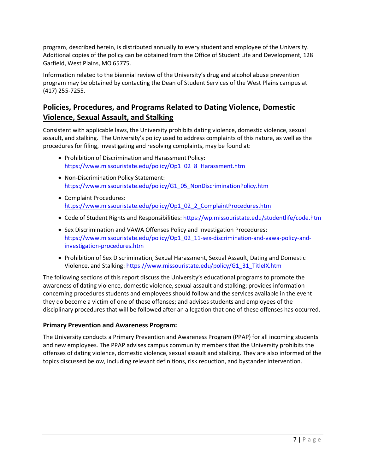program, described herein, is distributed annually to every student and employee of the University. Additional copies of the policy can be obtained from the Office of Student Life and Development, 128 Garfield, West Plains, MO 65775.

Information related to the biennial review of the University's drug and alcohol abuse prevention program may be obtained by contacting the Dean of Student Services of the West Plains campus at (417) 255-7255.

# **Policies, Procedures, and Programs Related to Dating Violence, Domestic Violence, Sexual Assault, and Stalking**

Consistent with applicable laws, the University prohibits dating violence, domestic violence, sexual assault, and stalking. The University's policy used to address complaints of this nature, as well as the procedures for filing, investigating and resolving complaints, may be found at:

- Prohibition of Discrimination and Harassment Policy: [https://www.missouristate.edu/policy/Op1\\_02\\_8\\_Harassment.htm](https://www.missouristate.edu/policy/Op1_02_8_Harassment.htm)
- Non-Discrimination Policy Statement: [https://www.missouristate.edu/policy/G1\\_05\\_NonDiscriminationPolicy.htm](https://www.missouristate.edu/policy/G1_05_NonDiscriminationPolicy.htm)
- Complaint Procedures: [https://www.missouristate.edu/policy/Op1\\_02\\_2\\_ComplaintProcedures.htm](https://www.missouristate.edu/policy/Op1_02_2_ComplaintProcedures.htm)
- Code of Student Rights and Responsibilities[: https://wp.missouristate.edu/studentlife/code.htm](https://wp.missouristate.edu/studentlife/code.htm)
- Sex Discrimination and VAWA Offenses Policy and Investigation Procedures: [https://www.missouristate.edu/policy/Op1\\_02\\_11-sex-discrimination-and-vawa-policy-and](https://www.missouristate.edu/policy/Op1_02_11-sex-discrimination-and-vawa-policy-and-investigation-procedures.htm)[investigation-procedures.htm](https://www.missouristate.edu/policy/Op1_02_11-sex-discrimination-and-vawa-policy-and-investigation-procedures.htm)
- Prohibition of Sex Discrimination, Sexual Harassment, Sexual Assault, Dating and Domestic Violence, and Stalking[: https://www.missouristate.edu/policy/G1\\_31\\_TitleIX.htm](https://www.missouristate.edu/policy/G1_31_TitleIX.htm)

The following sections of this report discuss the University's educational programs to promote the awareness of dating violence, domestic violence, sexual assault and stalking; provides information concerning procedures students and employees should follow and the services available in the event they do become a victim of one of these offenses; and advises students and employees of the disciplinary procedures that will be followed after an allegation that one of these offenses has occurred.

# **Primary Prevention and Awareness Program:**

The University conducts a Primary Prevention and Awareness Program (PPAP) for all incoming students and new employees. The PPAP advises campus community members that the University prohibits the offenses of dating violence, domestic violence, sexual assault and stalking. They are also informed of the topics discussed below, including relevant definitions, risk reduction, and bystander intervention.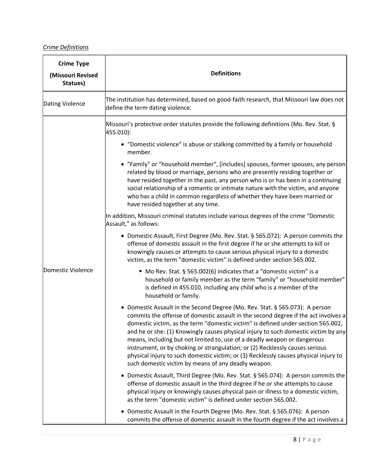# *Crime Definitions*

| <b>Crime Type</b><br>(Missouri Revised<br>Statues) | <b>Definitions</b>                                                                                                                                                                                                                                                                                                                                                                                                                                                                                                                                                                                                                                                                                                                                                                                                                                                                                                                                                                                                                                                                                                                                                                                                                                                                                                                                                                                                                                                                                                                                                                                                                                                                                                                                                                                                                                                                                                                                                                                                                                                                                                                                                                                                                                                                                                                                            |
|----------------------------------------------------|---------------------------------------------------------------------------------------------------------------------------------------------------------------------------------------------------------------------------------------------------------------------------------------------------------------------------------------------------------------------------------------------------------------------------------------------------------------------------------------------------------------------------------------------------------------------------------------------------------------------------------------------------------------------------------------------------------------------------------------------------------------------------------------------------------------------------------------------------------------------------------------------------------------------------------------------------------------------------------------------------------------------------------------------------------------------------------------------------------------------------------------------------------------------------------------------------------------------------------------------------------------------------------------------------------------------------------------------------------------------------------------------------------------------------------------------------------------------------------------------------------------------------------------------------------------------------------------------------------------------------------------------------------------------------------------------------------------------------------------------------------------------------------------------------------------------------------------------------------------------------------------------------------------------------------------------------------------------------------------------------------------------------------------------------------------------------------------------------------------------------------------------------------------------------------------------------------------------------------------------------------------------------------------------------------------------------------------------------------------|
| Dating Violence                                    | The institution has determined, based on good-faith research, that Missouri law does not<br>define the term dating violence.                                                                                                                                                                                                                                                                                                                                                                                                                                                                                                                                                                                                                                                                                                                                                                                                                                                                                                                                                                                                                                                                                                                                                                                                                                                                                                                                                                                                                                                                                                                                                                                                                                                                                                                                                                                                                                                                                                                                                                                                                                                                                                                                                                                                                                  |
| Domestic Violence                                  | Missouri's protective order statutes provide the following definitions (Mo. Rev. Stat. §<br>455.010):<br>• "Domestic violence" is abuse or stalking committed by a family or household<br>member.<br>• "Family" or "household member", [includes] spouses, former spouses, any person<br>related by blood or marriage, persons who are presently residing together or<br>have resided together in the past, any person who is or has been in a continuing<br>social relationship of a romantic or intimate nature with the victim, and anyone<br>who has a child in common regardless of whether they have been married or<br>have resided together at any time.<br>In addition, Missouri criminal statutes include various degrees of the crime "Domestic<br>Assault," as follows:<br>• Domestic Assault, First Degree (Mo. Rev. Stat. § 565.072): A person commits the<br>offense of domestic assault in the first degree if he or she attempts to kill or<br>knowingly causes or attempts to cause serious physical injury to a domestic<br>victim, as the term "domestic victim" is defined under section 565.002.<br>■ Mo Rev. Stat. § 565.002(6) indicates that a "domestic victim" is a<br>household or family member as the term "family" or "household member"<br>is defined in 455.010, including any child who is a member of the<br>household or family.<br>• Domestic Assault in the Second Degree (Mo. Rev. Stat. § 565.073): A person<br>commits the offense of domestic assault in the second degree if the act involves a<br>domestic victim, as the term "domestic victim" is defined under section 565.002,<br>and he or she: (1) Knowingly causes physical injury to such domestic victim by any<br>means, including but not limited to, use of a deadly weapon or dangerous<br>instrument, or by choking or strangulation; or (2) Recklessly causes serious<br>physical injury to such domestic victim; or (3) Recklessly causes physical injury to<br>such domestic victim by means of any deadly weapon.<br>Domestic Assault, Third Degree (Mo. Rev. Stat. § 565.074): A person commits the<br>offense of domestic assault in the third degree if he or she attempts to cause<br>physical injury or knowingly causes physical pain or illness to a domestic victim,<br>as the term "domestic victim" is defined under section 565.002. |
|                                                    | Domestic Assault in the Fourth Degree (Mo. Rev. Stat. § 565.076): A person<br>commits the offense of domestic assault in the fourth degree if the act involves a                                                                                                                                                                                                                                                                                                                                                                                                                                                                                                                                                                                                                                                                                                                                                                                                                                                                                                                                                                                                                                                                                                                                                                                                                                                                                                                                                                                                                                                                                                                                                                                                                                                                                                                                                                                                                                                                                                                                                                                                                                                                                                                                                                                              |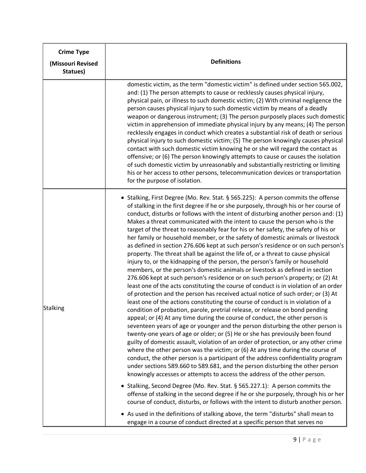| <b>Crime Type</b><br>(Missouri Revised<br>Statues) | <b>Definitions</b>                                                                                                                                                                                                                                                                                                                                                                                                                                                                                                                                                                                                                                                                                                                                                                                                                                                                                                                                                                                                                                                                                                                                                                                                                                                                                                                                                                                                                                                                                                                                                                                                                                                                                                                                                                                                                                                                                                                                                                                                                                                                                                                                                                                                                                                                                                                                                                                              |  |  |  |  |  |  |  |
|----------------------------------------------------|-----------------------------------------------------------------------------------------------------------------------------------------------------------------------------------------------------------------------------------------------------------------------------------------------------------------------------------------------------------------------------------------------------------------------------------------------------------------------------------------------------------------------------------------------------------------------------------------------------------------------------------------------------------------------------------------------------------------------------------------------------------------------------------------------------------------------------------------------------------------------------------------------------------------------------------------------------------------------------------------------------------------------------------------------------------------------------------------------------------------------------------------------------------------------------------------------------------------------------------------------------------------------------------------------------------------------------------------------------------------------------------------------------------------------------------------------------------------------------------------------------------------------------------------------------------------------------------------------------------------------------------------------------------------------------------------------------------------------------------------------------------------------------------------------------------------------------------------------------------------------------------------------------------------------------------------------------------------------------------------------------------------------------------------------------------------------------------------------------------------------------------------------------------------------------------------------------------------------------------------------------------------------------------------------------------------------------------------------------------------------------------------------------------------|--|--|--|--|--|--|--|
|                                                    | domestic victim, as the term "domestic victim" is defined under section 565.002,<br>and: (1) The person attempts to cause or recklessly causes physical injury,<br>physical pain, or illness to such domestic victim; (2) With criminal negligence the<br>person causes physical injury to such domestic victim by means of a deadly<br>weapon or dangerous instrument; (3) The person purposely places such domestic<br>victim in apprehension of immediate physical injury by any means; (4) The person<br>recklessly engages in conduct which creates a substantial risk of death or serious<br>physical injury to such domestic victim; (5) The person knowingly causes physical<br>contact with such domestic victim knowing he or she will regard the contact as<br>offensive; or (6) The person knowingly attempts to cause or causes the isolation<br>of such domestic victim by unreasonably and substantially restricting or limiting<br>his or her access to other persons, telecommunication devices or transportation<br>for the purpose of isolation.                                                                                                                                                                                                                                                                                                                                                                                                                                                                                                                                                                                                                                                                                                                                                                                                                                                                                                                                                                                                                                                                                                                                                                                                                                                                                                                                             |  |  |  |  |  |  |  |
| Stalking                                           | • Stalking, First Degree (Mo. Rev. Stat. § 565.225): A person commits the offense<br>of stalking in the first degree if he or she purposely, through his or her course of<br>conduct, disturbs or follows with the intent of disturbing another person and: (1)<br>Makes a threat communicated with the intent to cause the person who is the<br>target of the threat to reasonably fear for his or her safety, the safety of his or<br>her family or household member, or the safety of domestic animals or livestock<br>as defined in section 276.606 kept at such person's residence or on such person's<br>property. The threat shall be against the life of, or a threat to cause physical<br>injury to, or the kidnapping of the person, the person's family or household<br>members, or the person's domestic animals or livestock as defined in section<br>276.606 kept at such person's residence or on such person's property; or (2) At<br>least one of the acts constituting the course of conduct is in violation of an order<br>of protection and the person has received actual notice of such order; or (3) At<br>least one of the actions constituting the course of conduct is in violation of a<br>condition of probation, parole, pretrial release, or release on bond pending<br>appeal; or (4) At any time during the course of conduct, the other person is<br>seventeen years of age or younger and the person disturbing the other person is<br>twenty-one years of age or older; or (5) He or she has previously been found<br>guilty of domestic assault, violation of an order of protection, or any other crime<br>where the other person was the victim; or (6) At any time during the course of<br>conduct, the other person is a participant of the address confidentiality program<br>under sections 589.660 to 589.681, and the person disturbing the other person<br>knowingly accesses or attempts to access the address of the other person.<br>Stalking, Second Degree (Mo. Rev. Stat. § 565.227.1): A person commits the<br>offense of stalking in the second degree if he or she purposely, through his or her<br>course of conduct, disturbs, or follows with the intent to disturb another person.<br>• As used in the definitions of stalking above, the term "disturbs" shall mean to<br>engage in a course of conduct directed at a specific person that serves no |  |  |  |  |  |  |  |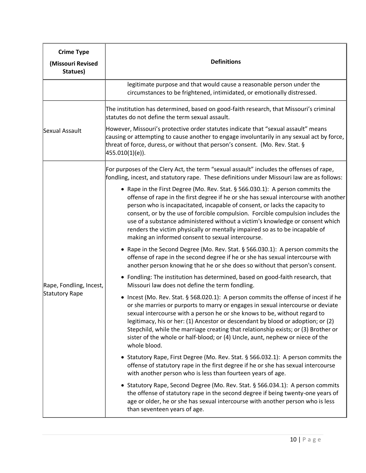| <b>Crime Type</b><br>(Missouri Revised<br>Statues) | <b>Definitions</b>                                                                                                                                                                                                                                                                                                                                                                                                                                                                                                                                                                                                                                                                                                                                                                                                                                                                                                                                                                                                                                                                                                                                                                                                                                                                                                                                                                                                                                                                                                                                                                                                                                                                                                                                                                                                                                                                                                  |  |  |  |  |  |  |  |
|----------------------------------------------------|---------------------------------------------------------------------------------------------------------------------------------------------------------------------------------------------------------------------------------------------------------------------------------------------------------------------------------------------------------------------------------------------------------------------------------------------------------------------------------------------------------------------------------------------------------------------------------------------------------------------------------------------------------------------------------------------------------------------------------------------------------------------------------------------------------------------------------------------------------------------------------------------------------------------------------------------------------------------------------------------------------------------------------------------------------------------------------------------------------------------------------------------------------------------------------------------------------------------------------------------------------------------------------------------------------------------------------------------------------------------------------------------------------------------------------------------------------------------------------------------------------------------------------------------------------------------------------------------------------------------------------------------------------------------------------------------------------------------------------------------------------------------------------------------------------------------------------------------------------------------------------------------------------------------|--|--|--|--|--|--|--|
|                                                    | legitimate purpose and that would cause a reasonable person under the<br>circumstances to be frightened, intimidated, or emotionally distressed.                                                                                                                                                                                                                                                                                                                                                                                                                                                                                                                                                                                                                                                                                                                                                                                                                                                                                                                                                                                                                                                                                                                                                                                                                                                                                                                                                                                                                                                                                                                                                                                                                                                                                                                                                                    |  |  |  |  |  |  |  |
| Sexual Assault                                     | The institution has determined, based on good-faith research, that Missouri's criminal<br>statutes do not define the term sexual assault.<br>However, Missouri's protective order statutes indicate that "sexual assault" means<br>causing or attempting to cause another to engage involuntarily in any sexual act by force,<br>threat of force, duress, or without that person's consent. (Mo. Rev. Stat. §<br> 455.010(1)(e) .                                                                                                                                                                                                                                                                                                                                                                                                                                                                                                                                                                                                                                                                                                                                                                                                                                                                                                                                                                                                                                                                                                                                                                                                                                                                                                                                                                                                                                                                                   |  |  |  |  |  |  |  |
| Rape, Fondling, Incest,<br>Statutory Rape          | For purposes of the Clery Act, the term "sexual assault" includes the offenses of rape,<br>fondling, incest, and statutory rape. These definitions under Missouri law are as follows:<br>• Rape in the First Degree (Mo. Rev. Stat. § 566.030.1): A person commits the<br>offense of rape in the first degree if he or she has sexual intercourse with another<br>person who is incapacitated, incapable of consent, or lacks the capacity to<br>consent, or by the use of forcible compulsion. Forcible compulsion includes the<br>use of a substance administered without a victim's knowledge or consent which<br>renders the victim physically or mentally impaired so as to be incapable of<br>making an informed consent to sexual intercourse.<br>• Rape in the Second Degree (Mo. Rev. Stat. § 566.030.1): A person commits the<br>offense of rape in the second degree if he or she has sexual intercourse with<br>another person knowing that he or she does so without that person's consent.<br>• Fondling: The institution has determined, based on good-faith research, that<br>Missouri law does not define the term fondling.<br>Incest (Mo. Rev. Stat. § 568.020.1): A person commits the offense of incest if he<br>or she marries or purports to marry or engages in sexual intercourse or deviate<br>sexual intercourse with a person he or she knows to be, without regard to<br>legitimacy, his or her: (1) Ancestor or descendant by blood or adoption; or (2)<br>Stepchild, while the marriage creating that relationship exists; or (3) Brother or<br>sister of the whole or half-blood; or (4) Uncle, aunt, nephew or niece of the<br>whole blood.<br>Statutory Rape, First Degree (Mo. Rev. Stat. § 566.032.1): A person commits the<br>offense of statutory rape in the first degree if he or she has sexual intercourse<br>with another person who is less than fourteen years of age. |  |  |  |  |  |  |  |
|                                                    | Statutory Rape, Second Degree (Mo. Rev. Stat. § 566.034.1): A person commits<br>the offense of statutory rape in the second degree if being twenty-one years of<br>age or older, he or she has sexual intercourse with another person who is less<br>than seventeen years of age.                                                                                                                                                                                                                                                                                                                                                                                                                                                                                                                                                                                                                                                                                                                                                                                                                                                                                                                                                                                                                                                                                                                                                                                                                                                                                                                                                                                                                                                                                                                                                                                                                                   |  |  |  |  |  |  |  |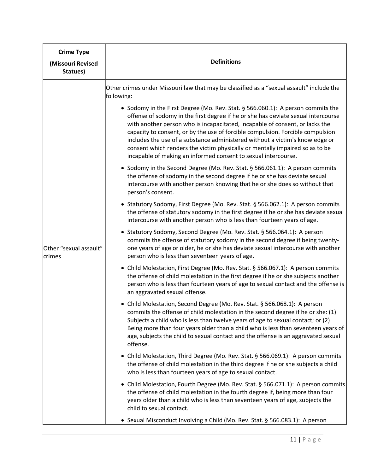| <b>Crime Type</b><br>(Missouri Revised<br>Statues) | <b>Definitions</b>                                                                                                                                                                                                                                                                                                                                                                                                                                                                                                                                                                                                                                                                                                                                                                                                                                                                                                                                                                                                                                                                                                                                                                                                                                                                                                                                                                                                                                                                                                                                                                                                                                                                                                                                                                                                                                                                                                                                                                                                                                                                                                                                                                                                                                                                                                                                                                                                                                                                                                                                    |
|----------------------------------------------------|-------------------------------------------------------------------------------------------------------------------------------------------------------------------------------------------------------------------------------------------------------------------------------------------------------------------------------------------------------------------------------------------------------------------------------------------------------------------------------------------------------------------------------------------------------------------------------------------------------------------------------------------------------------------------------------------------------------------------------------------------------------------------------------------------------------------------------------------------------------------------------------------------------------------------------------------------------------------------------------------------------------------------------------------------------------------------------------------------------------------------------------------------------------------------------------------------------------------------------------------------------------------------------------------------------------------------------------------------------------------------------------------------------------------------------------------------------------------------------------------------------------------------------------------------------------------------------------------------------------------------------------------------------------------------------------------------------------------------------------------------------------------------------------------------------------------------------------------------------------------------------------------------------------------------------------------------------------------------------------------------------------------------------------------------------------------------------------------------------------------------------------------------------------------------------------------------------------------------------------------------------------------------------------------------------------------------------------------------------------------------------------------------------------------------------------------------------------------------------------------------------------------------------------------------------|
| Other "sexual assault"<br>crimes                   | Other crimes under Missouri law that may be classified as a "sexual assault" include the<br>following:<br>• Sodomy in the First Degree (Mo. Rev. Stat. § 566.060.1): A person commits the<br>offense of sodomy in the first degree if he or she has deviate sexual intercourse<br>with another person who is incapacitated, incapable of consent, or lacks the<br>capacity to consent, or by the use of forcible compulsion. Forcible compulsion<br>includes the use of a substance administered without a victim's knowledge or<br>consent which renders the victim physically or mentally impaired so as to be<br>incapable of making an informed consent to sexual intercourse.<br>Sodomy in the Second Degree (Mo. Rev. Stat. § 566.061.1): A person commits<br>$\bullet$<br>the offense of sodomy in the second degree if he or she has deviate sexual<br>intercourse with another person knowing that he or she does so without that<br>person's consent.<br>Statutory Sodomy, First Degree (Mo. Rev. Stat. § 566.062.1): A person commits<br>$\bullet$<br>the offense of statutory sodomy in the first degree if he or she has deviate sexual<br>intercourse with another person who is less than fourteen years of age.<br>Statutory Sodomy, Second Degree (Mo. Rev. Stat. § 566.064.1): A person<br>$\bullet$<br>commits the offense of statutory sodomy in the second degree if being twenty-<br>one years of age or older, he or she has deviate sexual intercourse with another<br>person who is less than seventeen years of age.<br>Child Molestation, First Degree (Mo. Rev. Stat. § 566.067.1): A person commits<br>$\bullet$<br>the offense of child molestation in the first degree if he or she subjects another<br>person who is less than fourteen years of age to sexual contact and the offense is<br>an aggravated sexual offense.<br>• Child Molestation, Second Degree (Mo. Rev. Stat. § 566.068.1): A person<br>commits the offense of child molestation in the second degree if he or she: (1)<br>Subjects a child who is less than twelve years of age to sexual contact; or (2)<br>Being more than four years older than a child who is less than seventeen years of<br>age, subjects the child to sexual contact and the offense is an aggravated sexual<br>offense.<br>Child Molestation, Third Degree (Mo. Rev. Stat. § 566.069.1): A person commits<br>$\bullet$<br>the offense of child molestation in the third degree if he or she subjects a child<br>who is less than fourteen years of age to sexual contact. |
|                                                    | • Child Molestation, Fourth Degree (Mo. Rev. Stat. § 566.071.1): A person commits<br>the offense of child molestation in the fourth degree if, being more than four<br>years older than a child who is less than seventeen years of age, subjects the<br>child to sexual contact.<br>• Sexual Misconduct Involving a Child (Mo. Rev. Stat. § 566.083.1): A person                                                                                                                                                                                                                                                                                                                                                                                                                                                                                                                                                                                                                                                                                                                                                                                                                                                                                                                                                                                                                                                                                                                                                                                                                                                                                                                                                                                                                                                                                                                                                                                                                                                                                                                                                                                                                                                                                                                                                                                                                                                                                                                                                                                     |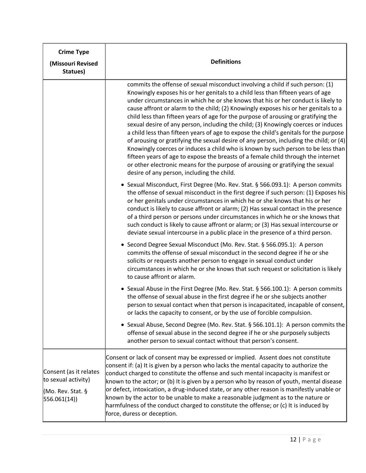| <b>Crime Type</b><br>(Missouri Revised<br>Statues)                                 | <b>Definitions</b>                                                                                                                                                                                                                                                                                                                                                                                                                                                                                                                                                                                                                                                                                                                                                                                                                                                                                                                                                                                                      |  |  |  |  |  |  |  |
|------------------------------------------------------------------------------------|-------------------------------------------------------------------------------------------------------------------------------------------------------------------------------------------------------------------------------------------------------------------------------------------------------------------------------------------------------------------------------------------------------------------------------------------------------------------------------------------------------------------------------------------------------------------------------------------------------------------------------------------------------------------------------------------------------------------------------------------------------------------------------------------------------------------------------------------------------------------------------------------------------------------------------------------------------------------------------------------------------------------------|--|--|--|--|--|--|--|
|                                                                                    | commits the offense of sexual misconduct involving a child if such person: (1)<br>Knowingly exposes his or her genitals to a child less than fifteen years of age<br>under circumstances in which he or she knows that his or her conduct is likely to<br>cause affront or alarm to the child; (2) Knowingly exposes his or her genitals to a<br>child less than fifteen years of age for the purpose of arousing or gratifying the<br>sexual desire of any person, including the child; (3) Knowingly coerces or induces<br>a child less than fifteen years of age to expose the child's genitals for the purpose<br>of arousing or gratifying the sexual desire of any person, including the child; or $(4)$<br>Knowingly coerces or induces a child who is known by such person to be less than<br>fifteen years of age to expose the breasts of a female child through the internet<br>or other electronic means for the purpose of arousing or gratifying the sexual<br>desire of any person, including the child. |  |  |  |  |  |  |  |
|                                                                                    | • Sexual Misconduct, First Degree (Mo. Rev. Stat. § 566.093.1): A person commits<br>the offense of sexual misconduct in the first degree if such person: (1) Exposes his<br>or her genitals under circumstances in which he or she knows that his or her<br>conduct is likely to cause affront or alarm; (2) Has sexual contact in the presence<br>of a third person or persons under circumstances in which he or she knows that<br>such conduct is likely to cause affront or alarm; or (3) Has sexual intercourse or<br>deviate sexual intercourse in a public place in the presence of a third person.                                                                                                                                                                                                                                                                                                                                                                                                              |  |  |  |  |  |  |  |
|                                                                                    | • Second Degree Sexual Misconduct (Mo. Rev. Stat. § 566.095.1): A person<br>commits the offense of sexual misconduct in the second degree if he or she<br>solicits or requests another person to engage in sexual conduct under<br>circumstances in which he or she knows that such request or solicitation is likely<br>to cause affront or alarm.                                                                                                                                                                                                                                                                                                                                                                                                                                                                                                                                                                                                                                                                     |  |  |  |  |  |  |  |
|                                                                                    | • Sexual Abuse in the First Degree (Mo. Rev. Stat. § 566.100.1): A person commits<br>the offense of sexual abuse in the first degree if he or she subjects another<br>person to sexual contact when that person is incapacitated, incapable of consent,<br>or lacks the capacity to consent, or by the use of forcible compulsion.                                                                                                                                                                                                                                                                                                                                                                                                                                                                                                                                                                                                                                                                                      |  |  |  |  |  |  |  |
|                                                                                    | • Sexual Abuse, Second Degree (Mo. Rev. Stat. § 566.101.1): A person commits the<br>offense of sexual abuse in the second degree if he or she purposely subjects<br>another person to sexual contact without that person's consent.                                                                                                                                                                                                                                                                                                                                                                                                                                                                                                                                                                                                                                                                                                                                                                                     |  |  |  |  |  |  |  |
| Consent (as it relates<br>to sexual activity)<br>(Mo. Rev. Stat. §<br> 556.061(14) | Consent or lack of consent may be expressed or implied. Assent does not constitute<br>consent if: (a) It is given by a person who lacks the mental capacity to authorize the<br>conduct charged to constitute the offense and such mental incapacity is manifest or<br>known to the actor; or (b) It is given by a person who by reason of youth, mental disease<br>or defect, intoxication, a drug-induced state, or any other reason is manifestly unable or<br>known by the actor to be unable to make a reasonable judgment as to the nature or<br>harmfulness of the conduct charged to constitute the offense; or (c) It is induced by<br>force, duress or deception.                                                                                                                                                                                                                                                                                                                                             |  |  |  |  |  |  |  |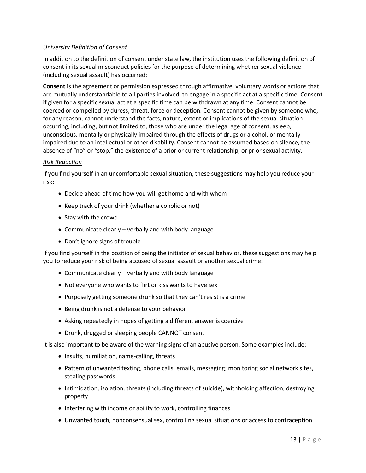#### *University Definition of Consent*

In addition to the definition of consent under state law, the institution uses the following definition of consent in its sexual misconduct policies for the purpose of determining whether sexual violence (including sexual assault) has occurred:

**Consent** is the agreement or permission expressed through affirmative, voluntary words or actions that are mutually understandable to all parties involved, to engage in a specific act at a specific time. Consent if given for a specific sexual act at a specific time can be withdrawn at any time. Consent cannot be coerced or compelled by duress, threat, force or deception. Consent cannot be given by someone who, for any reason, cannot understand the facts, nature, extent or implications of the sexual situation occurring, including, but not limited to, those who are under the legal age of consent, asleep, unconscious, mentally or physically impaired through the effects of drugs or alcohol, or mentally impaired due to an intellectual or other disability. Consent cannot be assumed based on silence, the absence of "no" or "stop," the existence of a prior or current relationship, or prior sexual activity.

#### *Risk Reduction*

If you find yourself in an uncomfortable sexual situation, these suggestions may help you reduce your risk:

- Decide ahead of time how you will get home and with whom
- Keep track of your drink (whether alcoholic or not)
- Stay with the crowd
- Communicate clearly verbally and with body language
- Don't ignore signs of trouble

If you find yourself in the position of being the initiator of sexual behavior, these suggestions may help you to reduce your risk of being accused of sexual assault or another sexual crime:

- Communicate clearly verbally and with body language
- Not everyone who wants to flirt or kiss wants to have sex
- Purposely getting someone drunk so that they can't resist is a crime
- Being drunk is not a defense to your behavior
- Asking repeatedly in hopes of getting a different answer is coercive
- Drunk, drugged or sleeping people CANNOT consent

It is also important to be aware of the warning signs of an abusive person. Some examples include:

- Insults, humiliation, name-calling, threats
- Pattern of unwanted texting, phone calls, emails, messaging; monitoring social network sites, stealing passwords
- Intimidation, isolation, threats (including threats of suicide), withholding affection, destroying property
- Interfering with income or ability to work, controlling finances
- Unwanted touch, nonconsensual sex, controlling sexual situations or access to contraception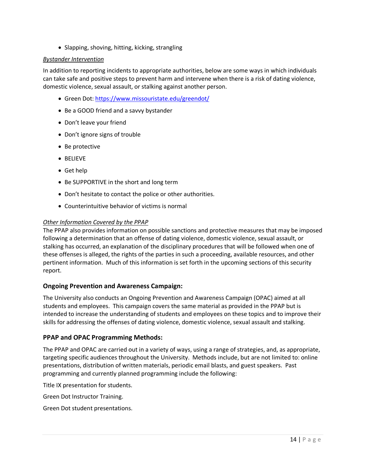• Slapping, shoving, hitting, kicking, strangling

#### *Bystander Intervention*

In addition to reporting incidents to appropriate authorities, below are some ways in which individuals can take safe and positive steps to prevent harm and intervene when there is a risk of dating violence, domestic violence, sexual assault, or stalking against another person.

- Green Dot[: https://www.missouristate.edu/greendot/](https://www.missouristate.edu/greendot/)
- Be a GOOD friend and a savvy bystander
- Don't leave your friend
- Don't ignore signs of trouble
- Be protective
- BELIEVE
- Get help
- Be SUPPORTIVE in the short and long term
- Don't hesitate to contact the police or other authorities.
- Counterintuitive behavior of victims is normal

#### *Other Information Covered by the PPAP*

The PPAP also provides information on possible sanctions and protective measures that may be imposed following a determination that an offense of dating violence, domestic violence, sexual assault, or stalking has occurred, an explanation of the disciplinary procedures that will be followed when one of these offenses is alleged, the rights of the parties in such a proceeding, available resources, and other pertinent information. Much of this information is set forth in the upcoming sections of this security report.

#### **Ongoing Prevention and Awareness Campaign:**

The University also conducts an Ongoing Prevention and Awareness Campaign (OPAC) aimed at all students and employees. This campaign covers the same material as provided in the PPAP but is intended to increase the understanding of students and employees on these topics and to improve their skills for addressing the offenses of dating violence, domestic violence, sexual assault and stalking.

#### **PPAP and OPAC Programming Methods:**

The PPAP and OPAC are carried out in a variety of ways, using a range of strategies, and, as appropriate, targeting specific audiences throughout the University. Methods include, but are not limited to: online presentations, distribution of written materials, periodic email blasts, and guest speakers. Past programming and currently planned programming include the following:

Title IX presentation for students.

Green Dot Instructor Training.

Green Dot student presentations.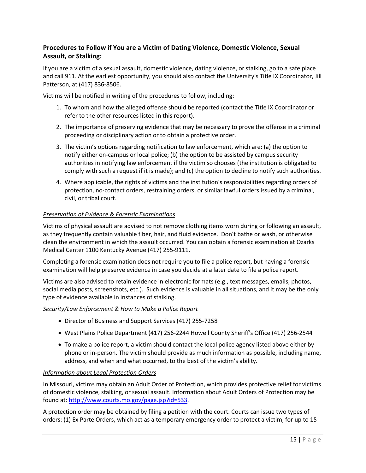# **Procedures to Follow if You are a Victim of Dating Violence, Domestic Violence, Sexual Assault, or Stalking:**

If you are a victim of a sexual assault, domestic violence, dating violence, or stalking, go to a safe place and call 911. At the earliest opportunity, you should also contact the University's Title IX Coordinator, Jill Patterson, at (417) 836-8506.

Victims will be notified in writing of the procedures to follow, including:

- 1. To whom and how the alleged offense should be reported (contact the Title IX Coordinator or refer to the other resources listed in this report).
- 2. The importance of preserving evidence that may be necessary to prove the offense in a criminal proceeding or disciplinary action or to obtain a protective order.
- 3. The victim's options regarding notification to law enforcement, which are: (a) the option to notify either on-campus or local police; (b) the option to be assisted by campus security authorities in notifying law enforcement if the victim so chooses (the institution is obligated to comply with such a request if it is made); and (c) the option to decline to notify such authorities.
- 4. Where applicable, the rights of victims and the institution's responsibilities regarding orders of protection, no-contact orders, restraining orders, or similar lawful orders issued by a criminal, civil, or tribal court.

#### *Preservation of Evidence & Forensic Examinations*

Victims of physical assault are advised to not remove clothing items worn during or following an assault, as they frequently contain valuable fiber, hair, and fluid evidence. Don't bathe or wash, or otherwise clean the environment in which the assault occurred. You can obtain a forensic examination at Ozarks Medical Center 1100 Kentucky Avenue (417) 255-9111.

Completing a forensic examination does not require you to file a police report, but having a forensic examination will help preserve evidence in case you decide at a later date to file a police report.

Victims are also advised to retain evidence in electronic formats (e.g., text messages, emails, photos, social media posts, screenshots, etc.). Such evidence is valuable in all situations, and it may be the only type of evidence available in instances of stalking.

#### *Security/Law Enforcement & How to Make a Police Report*

- Director of Business and Support Services (417) 255-7258
- West Plains Police Department (417) 256-2244 Howell County Sheriff's Office (417) 256-2544
- To make a police report, a victim should contact the local police agency listed above either by phone or in-person. The victim should provide as much information as possible, including name, address, and when and what occurred, to the best of the victim's ability.

#### *Information about Legal Protection Orders*

In Missouri, victims may obtain an Adult Order of Protection, which provides protective relief for victims of domestic violence, stalking, or sexual assault. Information about Adult Orders of Protection may be found at: [http://www.courts.mo.gov/page.jsp?id=533.](http://www.courts.mo.gov/page.jsp?id=533)

A protection order may be obtained by filing a petition with the court. Courts can issue two types of orders: (1) Ex Parte Orders, which act as a temporary emergency order to protect a victim, for up to 15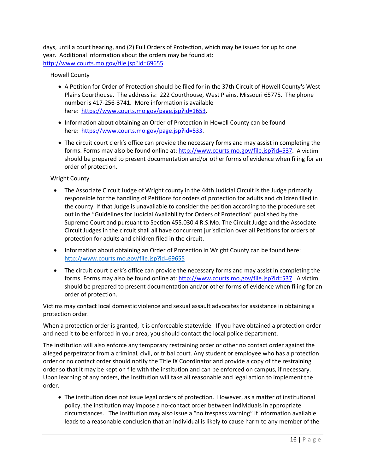days, until a court hearing, and (2) Full Orders of Protection, which may be issued for up to one year. Additional information about the orders may be found at: [http://www.courts.mo.gov/file.jsp?id=69655.](http://www.courts.mo.gov/file.jsp?id=69655)

#### Howell County

- A Petition for Order of Protection should be filed for in the 37th Circuit of Howell County's West Plains Courthouse. The address is: 222 Courthouse, West Plains, Missouri 65775. The phone number is 417-256-3741. More information is available here: [https://www.courts.mo.gov/page.jsp?id=1653.](https://www.courts.mo.gov/page.jsp?id=1653)
- Information about obtaining an Order of Protection in Howell County can be found here: [https://www.courts.mo.gov/page.jsp?id=533.](https://www.courts.mo.gov/page.jsp?id=533)
- The circuit court clerk's office can provide the necessary forms and may assist in completing the forms. Forms may also be found online at: [http://www.courts.mo.gov/file.jsp?id=537.](http://www.courts.mo.gov/file.jsp?id=537) A victim should be prepared to present documentation and/or other forms of evidence when filing for an order of protection.

#### Wright County

- The Associate Circuit Judge of Wright county in the 44th Judicial Circuit is the Judge primarily responsible for the handling of Petitions for orders of protection for adults and children filed in the county. If that Judge is unavailable to consider the petition according to the procedure set out in the "Guidelines for Judicial Availability for Orders of Protection" published by the Supreme Court and pursuant to Section 455.030.4 R.S.Mo. The Circuit Judge and the Associate Circuit Judges in the circuit shall all have concurrent jurisdiction over all Petitions for orders of protection for adults and children filed in the circuit.
- Information about obtaining an Order of Protection in Wright County can be found here: <http://www.courts.mo.gov/file.jsp?id=69655>
- The circuit court clerk's office can provide the necessary forms and may assist in completing the forms. Forms may also be found online at: [http://www.courts.mo.gov/file.jsp?id=537.](http://www.courts.mo.gov/file.jsp?id=537) A victim should be prepared to present documentation and/or other forms of evidence when filing for an order of protection.

Victims may contact local domestic violence and sexual assault advocates for assistance in obtaining a protection order.

When a protection order is granted, it is enforceable statewide. If you have obtained a protection order and need it to be enforced in your area, you should contact the local police department.

The institution will also enforce any temporary restraining order or other no contact order against the alleged perpetrator from a criminal, civil, or tribal court. Any student or employee who has a protection order or no contact order should notify the Title IX Coordinator and provide a copy of the restraining order so that it may be kept on file with the institution and can be enforced on campus, if necessary. Upon learning of any orders, the institution will take all reasonable and legal action to implement the order.

• The institution does not issue legal orders of protection. However, as a matter of institutional policy, the institution may impose a no-contact order between individuals in appropriate circumstances. The institution may also issue a "no trespass warning" if information available leads to a reasonable conclusion that an individual is likely to cause harm to any member of the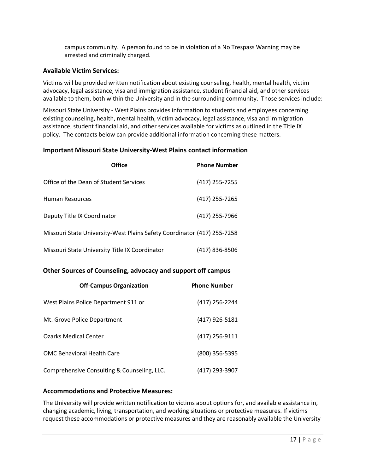campus community. A person found to be in violation of a No Trespass Warning may be arrested and criminally charged.

#### **Available Victim Services:**

Victims will be provided written notification about existing counseling, health, mental health, victim advocacy, legal assistance, visa and immigration assistance, student financial aid, and other services available to them, both within the University and in the surrounding community. Those services include:

Missouri State University - West Plains provides information to students and employees concerning existing counseling, health, mental health, victim advocacy, legal assistance, visa and immigration assistance, student financial aid, and other services available for victims as outlined in the Title IX policy. The contacts below can provide additional information concerning these matters.

#### **Important Missouri State University-West Plains contact information**

| Office                                                                  | <b>Phone Number</b> |
|-------------------------------------------------------------------------|---------------------|
| Office of the Dean of Student Services                                  | (417) 255-7255      |
| Human Resources                                                         | (417) 255-7265      |
| Deputy Title IX Coordinator                                             | (417) 255-7966      |
| Missouri State University-West Plains Safety Coordinator (417) 255-7258 |                     |
| Missouri State University Title IX Coordinator                          | (417) 836-8506      |

#### **Other Sources of Counseling, advocacy and support off campus**

| <b>Off-Campus Organization</b>              | <b>Phone Number</b> |
|---------------------------------------------|---------------------|
| West Plains Police Department 911 or        | (417) 256-2244      |
| Mt. Grove Police Department                 | (417) 926-5181      |
| <b>Ozarks Medical Center</b>                | (417) 256-9111      |
| <b>OMC Behavioral Health Care</b>           | (800) 356-5395      |
| Comprehensive Consulting & Counseling, LLC. | (417) 293-3907      |

#### **Accommodations and Protective Measures:**

The University will provide written notification to victims about options for, and available assistance in, changing academic, living, transportation, and working situations or protective measures. If victims request these accommodations or protective measures and they are reasonably available the University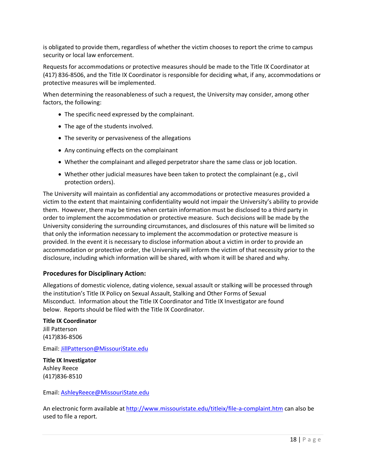is obligated to provide them, regardless of whether the victim chooses to report the crime to campus security or local law enforcement.

Requests for accommodations or protective measures should be made to the Title IX Coordinator at (417) 836-8506, and the Title IX Coordinator is responsible for deciding what, if any, accommodations or protective measures will be implemented.

When determining the reasonableness of such a request, the University may consider, among other factors, the following:

- The specific need expressed by the complainant.
- The age of the students involved.
- The severity or pervasiveness of the allegations
- Any continuing effects on the complainant
- Whether the complainant and alleged perpetrator share the same class or job location.
- Whether other judicial measures have been taken to protect the complainant (e.g., civil protection orders).

The University will maintain as confidential any accommodations or protective measures provided a victim to the extent that maintaining confidentiality would not impair the University's ability to provide them. However, there may be times when certain information must be disclosed to a third party in order to implement the accommodation or protective measure. Such decisions will be made by the University considering the surrounding circumstances, and disclosures of this nature will be limited so that only the information necessary to implement the accommodation or protective measure is provided. In the event it is necessary to disclose information about a victim in order to provide an accommodation or protective order, the University will inform the victim of that necessity prior to the disclosure, including which information will be shared, with whom it will be shared and why.

#### **Procedures for Disciplinary Action:**

Allegations of domestic violence, dating violence, sexual assault or stalking will be processed through the institution's Title IX Policy on Sexual Assault, Stalking and Other Forms of Sexual Misconduct. Information about the Title IX Coordinator and Title IX Investigator are found below. Reports should be filed with the Title IX Coordinator.

**Title IX Coordinator** Jill Patterson (417)836-8506

Email: [JillPatterson@MissouriState.edu](mailto:JillPatterson@MissouriState.edu)

**Title IX Investigator** Ashley Reece [\(417\)836-8510](tel:417-836-8510)

Email: [AshleyReece@MissouriState.edu](mailto:AshleyReece@MissouriState.edu)

An electronic form available at<http://www.missouristate.edu/titleix/file-a-complaint.htm> can also be used to file a report.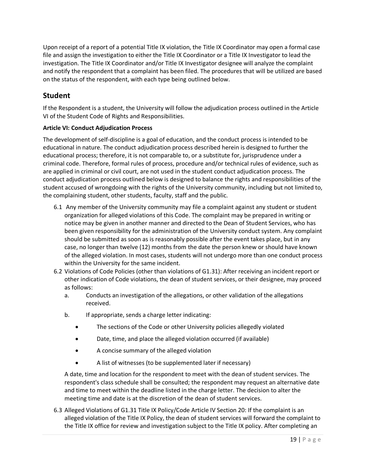Upon receipt of a report of a potential Title IX violation, the Title IX Coordinator may open a formal case file and assign the investigation to either the Title IX Coordinator or a Title IX Investigator to lead the investigation. The Title IX Coordinator and/or Title IX Investigator designee will analyze the complaint and notify the respondent that a complaint has been filed. The procedures that will be utilized are based on the status of the respondent, with each type being outlined below.

# **Student**

If the Respondent is a student, the University will follow the adjudication process outlined in the Article VI of the Student Code of Rights and Responsibilities.

#### **Article VI: Conduct Adjudication Process**

The development of self-discipline is a goal of education, and the conduct process is intended to be educational in nature. The conduct adjudication process described herein is designed to further the educational process; therefore, it is not comparable to, or a substitute for, jurisprudence under a criminal code. Therefore, formal rules of process, procedure and/or technical rules of evidence, such as are applied in criminal or civil court, are not used in the student conduct adjudication process. The conduct adjudication process outlined below is designed to balance the rights and responsibilities of the student accused of wrongdoing with the rights of the University community, including but not limited to, the complaining student, other students, faculty, staff and the public.

- 6.1 Any member of the University community may file a complaint against any student or student organization for alleged violations of this Code. The complaint may be prepared in writing or notice may be given in another manner and directed to the Dean of Student Services, who has been given responsibility for the administration of the University conduct system. Any complaint should be submitted as soon as is reasonably possible after the event takes place, but in any case, no longer than twelve (12) months from the date the person knew or should have known of the alleged violation. In most cases, students will not undergo more than one conduct process within the University for the same incident.
- 6.2 Violations of Code Policies (other than violations of G1.31): After receiving an incident report or other indication of Code violations, the dean of student services, or their designee, may proceed as follows:
	- a. Conducts an investigation of the allegations, or other validation of the allegations received.
	- b. If appropriate, sends a charge letter indicating:
		- The sections of the Code or other University policies allegedly violated
		- Date, time, and place the alleged violation occurred (if available)
		- A concise summary of the alleged violation
		- A list of witnesses (to be supplemented later if necessary)

A date, time and location for the respondent to meet with the dean of student services. The respondent's class schedule shall be consulted; the respondent may request an alternative date and time to meet within the deadline listed in the charge letter. The decision to alter the meeting time and date is at the discretion of the dean of student services.

6.3 Alleged Violations of G1.31 Title IX Policy/Code Article IV Section 20: If the complaint is an alleged violation of the Title IX Policy, the dean of student services will forward the complaint to the Title IX office for review and investigation subject to the Title IX policy. After completing an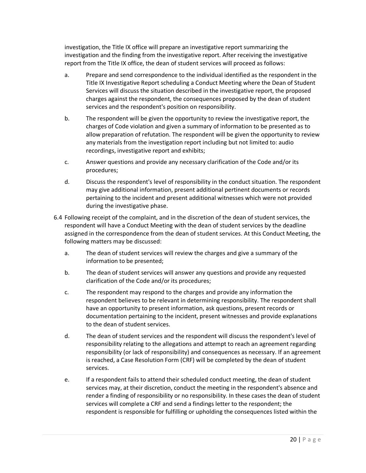investigation, the Title IX office will prepare an investigative report summarizing the investigation and the finding from the investigative report. After receiving the investigative report from the Title IX office, the dean of student services will proceed as follows:

- a. Prepare and send correspondence to the individual identified as the respondent in the Title IX Investigative Report scheduling a Conduct Meeting where the Dean of Student Services will discuss the situation described in the investigative report, the proposed charges against the respondent, the consequences proposed by the dean of student services and the respondent's position on responsibility.
- b. The respondent will be given the opportunity to review the investigative report, the charges of Code violation and given a summary of information to be presented as to allow preparation of refutation. The respondent will be given the opportunity to review any materials from the investigation report including but not limited to: audio recordings, investigative report and exhibits;
- c. Answer questions and provide any necessary clarification of the Code and/or its procedures;
- d. Discuss the respondent's level of responsibility in the conduct situation. The respondent may give additional information, present additional pertinent documents or records pertaining to the incident and present additional witnesses which were not provided during the investigative phase.
- 6.4 Following receipt of the complaint, and in the discretion of the dean of student services, the respondent will have a Conduct Meeting with the dean of student services by the deadline assigned in the correspondence from the dean of student services. At this Conduct Meeting, the following matters may be discussed:
	- a. The dean of student services will review the charges and give a summary of the information to be presented;
	- b. The dean of student services will answer any questions and provide any requested clarification of the Code and/or its procedures;
	- c. The respondent may respond to the charges and provide any information the respondent believes to be relevant in determining responsibility. The respondent shall have an opportunity to present information, ask questions, present records or documentation pertaining to the incident, present witnesses and provide explanations to the dean of student services.
	- d. The dean of student services and the respondent will discuss the respondent's level of responsibility relating to the allegations and attempt to reach an agreement regarding responsibility (or lack of responsibility) and consequences as necessary. If an agreement is reached, a Case Resolution Form (CRF) will be completed by the dean of student services.
	- e. If a respondent fails to attend their scheduled conduct meeting, the dean of student services may, at their discretion, conduct the meeting in the respondent's absence and render a finding of responsibility or no responsibility. In these cases the dean of student services will complete a CRF and send a findings letter to the respondent; the respondent is responsible for fulfilling or upholding the consequences listed within the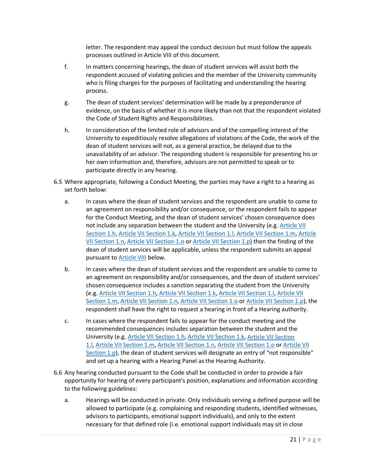letter. The respondent may appeal the conduct decision but must follow the appeals processes outlined in Article VIII of this document.

- f. In matters concerning hearings, the dean of student services will assist both the respondent accused of violating policies and the member of the University community who is filing charges for the purposes of facilitating and understanding the hearing process.
- g. The dean of student services' determination will be made by a preponderance of evidence, on the basis of whether it is more likely than not that the respondent violated the Code of Student Rights and Responsibilities.
- h. In consideration of the limited role of advisors and of the compelling interest of the University to expeditiously resolve allegations of violations of the Code, the work of the dean of student services will not, as a general practice, be delayed due to the unavailability of an advisor. The responding student is responsible for presenting his or her own information and, therefore, advisors are not permitted to speak or to participate directly in any hearing.
- 6.5 Where appropriate, following a Conduct Meeting, the parties may have a right to a hearing as set forth below:
	- a. In cases where the dean of student services and the respondent are unable to come to an agreement on responsibility and/or consequence, or the respondent fails to appear for the Conduct Meeting, and the dean of student services' chosen consequence does not include any separation between the student and the University (e.g. [Article VII](https://wp.missouristate.edu/studentlife/code.htm#article-7.1.h)  [Section 1.h,](https://wp.missouristate.edu/studentlife/code.htm#article-7.1.h) [Article VII Section 1.k,](https://wp.missouristate.edu/studentlife/code.htm#article-7.1.k) [Article VII Section 1.l,](https://wp.missouristate.edu/studentlife/code.htm#article-7.1.l) [Article VII Section 1.m,](https://wp.missouristate.edu/studentlife/code.htm#article-7.1.m) [Article](https://wp.missouristate.edu/studentlife/code.htm#article-7.1.n)  [VII Section 1.n,](https://wp.missouristate.edu/studentlife/code.htm#article-7.1.n) [Article VII Section 1.o](https://wp.missouristate.edu/studentlife/code.htm#article-7.1.o) or [Article VII Section 1.p\)](https://wp.missouristate.edu/studentlife/code.htm#article-7.1.p) then the finding of the dean of student services will be applicable, unless the respondent submits an appeal pursuant to [Article VIII](https://wp.missouristate.edu/studentlife/code.htm#article-8) below.
	- b. In cases where the dean of student services and the respondent are unable to come to an agreement on responsibility and/or consequences, and the dean of student services' chosen consequence includes a sanction separating the student from the University (e.g. [Article VII Section 1.h,](https://wp.missouristate.edu/studentlife/code.htm#article-7.1.h) [Article VII Section 1.k,](https://wp.missouristate.edu/studentlife/code.htm#article-7.1.k) [Article VII Section 1.l,](https://wp.missouristate.edu/studentlife/code.htm#article-7.1.l) [Article VII](https://wp.missouristate.edu/studentlife/code.htm#article-7.1.m)  [Section 1.m,](https://wp.missouristate.edu/studentlife/code.htm#article-7.1.m) [Article VII Section 1.n,](https://wp.missouristate.edu/studentlife/code.htm#article-7.1.n) [Article VII Section 1.o](https://wp.missouristate.edu/studentlife/code.htm#article-7.1.o) or [Article VII Section 1.p\)](https://wp.missouristate.edu/studentlife/code.htm#article-7.1.p), the respondent shall have the right to request a hearing in front of a Hearing authority.
	- c. In cases where the respondent fails to appear for the conduct meeting and the recommended consequences includes separation between the student and the University (e.g. [Article VII Section 1.h,](https://wp.missouristate.edu/studentlife/code.htm#article-7.1.h) [Article VII Section 1.k,](https://wp.missouristate.edu/studentlife/code.htm#article-7.1.k) [Article VII Section](https://wp.missouristate.edu/studentlife/code.htm#article-7.1.l)  [1.l,](https://wp.missouristate.edu/studentlife/code.htm#article-7.1.l) [Article VII Section 1.m,](https://wp.missouristate.edu/studentlife/code.htm#article-7.1.m) [Article VII Section 1.n,](https://wp.missouristate.edu/studentlife/code.htm#article-7.1.n) [Article VII Section 1.o](https://wp.missouristate.edu/studentlife/code.htm#article-7.1.o) or [Article VII](https://wp.missouristate.edu/studentlife/code.htm#article-7.1.p)  [Section 1.p\)](https://wp.missouristate.edu/studentlife/code.htm#article-7.1.p), the dean of student services will designate an entry of "not responsible" and set up a hearing with a Hearing Panel as the Hearing Authority.
- 6.6 Any hearing conducted pursuant to the Code shall be conducted in order to provide a fair opportunity for hearing of every participant's position, explanations and information according to the following guidelines:
	- a. Hearings will be conducted in private. Only individuals serving a defined purpose will be allowed to participate (e.g. complaining and responding students, identified witnesses, advisors to participants, emotional support individuals), and only to the extent necessary for that defined role (i.e. emotional support individuals may sit in close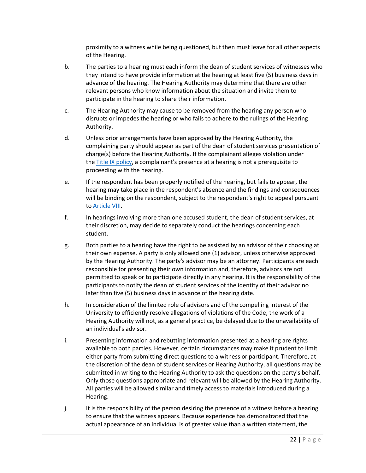proximity to a witness while being questioned, but then must leave for all other aspects of the Hearing.

- b. The parties to a hearing must each inform the dean of student services of witnesses who they intend to have provide information at the hearing at least five (5) business days in advance of the hearing. The Hearing Authority may determine that there are other relevant persons who know information about the situation and invite them to participate in the hearing to share their information.
- c. The Hearing Authority may cause to be removed from the hearing any person who disrupts or impedes the hearing or who fails to adhere to the rulings of the Hearing Authority.
- d. Unless prior arrangements have been approved by the Hearing Authority, the complaining party should appear as part of the dean of student services presentation of charge(s) before the Hearing Authority. If the complainant alleges violation under the [Title IX policy,](https://www.missouristate.edu/policy/g1_31_titleix.htm) a complainant's presence at a hearing is not a prerequisite to proceeding with the hearing.
- e. If the respondent has been properly notified of the hearing, but fails to appear, the hearing may take place in the respondent's absence and the findings and consequences will be binding on the respondent, subject to the respondent's right to appeal pursuant to [Article](https://wp.missouristate.edu/studentlife/code.htm#article-8) VIII.
- f. In hearings involving more than one accused student, the dean of student services, at their discretion, may decide to separately conduct the hearings concerning each student.
- g. Both parties to a hearing have the right to be assisted by an advisor of their choosing at their own expense. A party is only allowed one (1) advisor, unless otherwise approved by the Hearing Authority. The party's advisor may be an attorney. Participants are each responsible for presenting their own information and, therefore, advisors are not permitted to speak or to participate directly in any hearing. It is the responsibility of the participants to notify the dean of student services of the identity of their advisor no later than five (5) business days in advance of the hearing date.
- h. In consideration of the limited role of advisors and of the compelling interest of the University to efficiently resolve allegations of violations of the Code, the work of a Hearing Authority will not, as a general practice, be delayed due to the unavailability of an individual's advisor.
- i. Presenting information and rebutting information presented at a hearing are rights available to both parties. However, certain circumstances may make it prudent to limit either party from submitting direct questions to a witness or participant. Therefore, at the discretion of the dean of student services or Hearing Authority, all questions may be submitted in writing to the Hearing Authority to ask the questions on the party's behalf. Only those questions appropriate and relevant will be allowed by the Hearing Authority. All parties will be allowed similar and timely access to materials introduced during a Hearing.
- j. It is the responsibility of the person desiring the presence of a witness before a hearing to ensure that the witness appears. Because experience has demonstrated that the actual appearance of an individual is of greater value than a written statement, the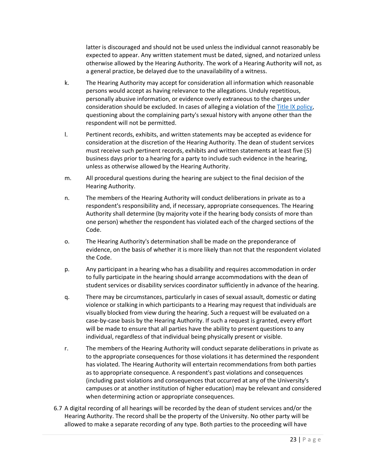latter is discouraged and should not be used unless the individual cannot reasonably be expected to appear. Any written statement must be dated, signed, and notarized unless otherwise allowed by the Hearing Authority. The work of a Hearing Authority will not, as a general practice, be delayed due to the unavailability of a witness.

- k. The Hearing Authority may accept for consideration all information which reasonable persons would accept as having relevance to the allegations. Unduly repetitious, personally abusive information, or evidence overly extraneous to the charges under consideration should be excluded. In cases of alleging a violation of the [Title IX policy,](https://www.missouristate.edu/policy/g1_31_titleix.htm) questioning about the complaining party's sexual history with anyone other than the respondent will not be permitted.
- l. Pertinent records, exhibits, and written statements may be accepted as evidence for consideration at the discretion of the Hearing Authority. The dean of student services must receive such pertinent records, exhibits and written statements at least five (5) business days prior to a hearing for a party to include such evidence in the hearing, unless as otherwise allowed by the Hearing Authority.
- m. All procedural questions during the hearing are subject to the final decision of the Hearing Authority.
- n. The members of the Hearing Authority will conduct deliberations in private as to a respondent's responsibility and, if necessary, appropriate consequences. The Hearing Authority shall determine (by majority vote if the hearing body consists of more than one person) whether the respondent has violated each of the charged sections of the Code.
- o. The Hearing Authority's determination shall be made on the preponderance of evidence, on the basis of whether it is more likely than not that the respondent violated the Code.
- p. Any participant in a hearing who has a disability and requires accommodation in order to fully participate in the hearing should arrange accommodations with the dean of student services or disability services coordinator sufficiently in advance of the hearing.
- q. There may be circumstances, particularly in cases of sexual assault, domestic or dating violence or stalking in which participants to a Hearing may request that individuals are visually blocked from view during the hearing. Such a request will be evaluated on a case-by-case basis by the Hearing Authority. If such a request is granted, every effort will be made to ensure that all parties have the ability to present questions to any individual, regardless of that individual being physically present or visible.
- r. The members of the Hearing Authority will conduct separate deliberations in private as to the appropriate consequences for those violations it has determined the respondent has violated. The Hearing Authority will entertain recommendations from both parties as to appropriate consequence. A respondent's past violations and consequences (including past violations and consequences that occurred at any of the University's campuses or at another institution of higher education) may be relevant and considered when determining action or appropriate consequences.
- 6.7 A digital recording of all hearings will be recorded by the dean of student services and/or the Hearing Authority. The record shall be the property of the University. No other party will be allowed to make a separate recording of any type. Both parties to the proceeding will have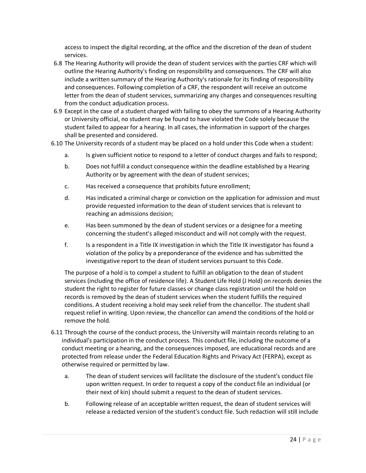access to inspect the digital recording, at the office and the discretion of the dean of student services.

- 6.8 The Hearing Authority will provide the dean of student services with the parties CRF which will outline the Hearing Authority's finding on responsibility and consequences. The CRF will also include a written summary of the Hearing Authority's rationale for its finding of responsibility and consequences. Following completion of a CRF, the respondent will receive an outcome letter from the dean of student services, summarizing any charges and consequences resulting from the conduct adjudication process.
- 6.9 Except in the case of a student charged with failing to obey the summons of a Hearing Authority or University official, no student may be found to have violated the Code solely because the student failed to appear for a hearing. In all cases, the information in support of the charges shall be presented and considered.
- 6.10 The University records of a student may be placed on a hold under this Code when a student:
	- a. Is given sufficient notice to respond to a letter of conduct charges and fails to respond;
	- b. Does not fulfill a conduct consequence within the deadline established by a Hearing Authority or by agreement with the dean of student services;
	- c. Has received a consequence that prohibits future enrollment;
	- d. Has indicated a criminal charge or conviction on the application for admission and must provide requested information to the dean of student services that is relevant to reaching an admissions decision;
	- e. Has been summoned by the dean of student services or a designee for a meeting concerning the student's alleged misconduct and will not comply with the request.
	- f. Is a respondent in a Title IX investigation in which the Title IX investigator has found a violation of the policy by a preponderance of the evidence and has submitted the investigative report to the dean of student services pursuant to this Code.

The purpose of a hold is to compel a student to fulfill an obligation to the dean of student services (including the office of residence life). A Student Life Hold (J Hold) on records denies the student the right to register for future classes or change class registration until the hold on records is removed by the dean of student services when the student fulfills the required conditions. A student receiving a hold may seek relief from the chancellor. The student shall request relief in writing. Upon review, the chancellor can amend the conditions of the hold or remove the hold.

- 6.11 Through the course of the conduct process, the University will maintain records relating to an individual's participation in the conduct process. This conduct file, including the outcome of a conduct meeting or a hearing, and the consequences imposed, are educational records and are protected from release under the Federal Education Rights and Privacy Act (FERPA), except as otherwise required or permitted by law.
	- a. The dean of student services will facilitate the disclosure of the student's conduct file upon written request. In order to request a copy of the conduct file an individual (or their next of kin) should submit a request to the dean of student services.
	- b. Following release of an acceptable written request, the dean of student services will release a redacted version of the student's conduct file. Such redaction will still include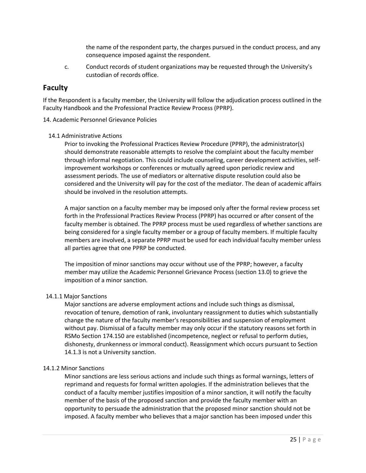the name of the respondent party, the charges pursued in the conduct process, and any consequence imposed against the respondent.

c. Conduct records of student organizations may be requested through the University's custodian of records office.

# **Faculty**

If the Respondent is a faculty member, the University will follow the adjudication process outlined in the Faculty Handbook and the Professional Practice Review Process (PPRP).

#### 14. Academic Personnel Grievance Policies

#### 14.1 Administrative Actions

Prior to invoking the Professional Practices Review Procedure (PPRP), the administrator(s) should demonstrate reasonable attempts to resolve the complaint about the faculty member through informal negotiation. This could include counseling, career development activities, selfimprovement workshops or conferences or mutually agreed upon periodic review and assessment periods. The use of mediators or alternative dispute resolution could also be considered and the University will pay for the cost of the mediator. The dean of academic affairs should be involved in the resolution attempts.

A major sanction on a faculty member may be imposed only after the formal review process set forth in the Professional Practices Review Process (PPRP) has occurred or after consent of the faculty member is obtained. The PPRP process must be used regardless of whether sanctions are being considered for a single faculty member or a group of faculty members. If multiple faculty members are involved, a separate PPRP must be used for each individual faculty member unless all parties agree that one PPRP be conducted.

The imposition of minor sanctions may occur without use of the PPRP; however, a faculty member may utilize the Academic Personnel Grievance Process (section 13.0) to grieve the imposition of a minor sanction.

#### 14.1.1 Major Sanctions

Major sanctions are adverse employment actions and include such things as dismissal, revocation of tenure, demotion of rank, involuntary reassignment to duties which substantially change the nature of the faculty member's responsibilities and suspension of employment without pay. Dismissal of a faculty member may only occur if the statutory reasons set forth in RSMo Section 174.150 are established (incompetence, neglect or refusal to perform duties, dishonesty, drunkenness or immoral conduct). Reassignment which occurs pursuant to Section 14.1.3 is not a University sanction.

#### 14.1.2 Minor Sanctions

Minor sanctions are less serious actions and include such things as formal warnings, letters of reprimand and requests for formal written apologies. If the administration believes that the conduct of a faculty member justifies imposition of a minor sanction, it will notify the faculty member of the basis of the proposed sanction and provide the faculty member with an opportunity to persuade the administration that the proposed minor sanction should not be imposed. A faculty member who believes that a major sanction has been imposed under this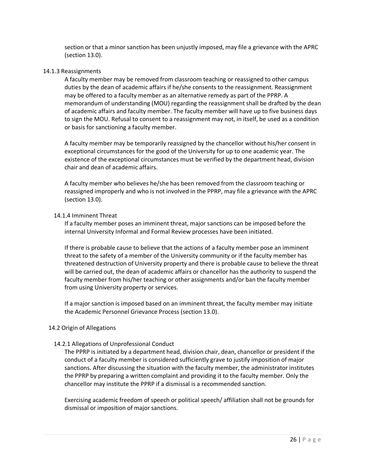section or that a minor sanction has been unjustly imposed, may file a grievance with the APRC (section 13.0).

#### 14.1.3 Reassignments

A faculty member may be removed from classroom teaching or reassigned to other campus duties by the dean of academic affairs if he/she consents to the reassignment. Reassignment may be offered to a faculty member as an alternative remedy as part of the PPRP. A memorandum of understanding (MOU) regarding the reassignment shall be drafted by the dean of academic affairs and faculty member. The faculty member will have up to five business days to sign the MOU. Refusal to consent to a reassignment may not, in itself, be used as a condition or basis for sanctioning a faculty member.

A faculty member may be temporarily reassigned by the chancellor without his/her consent in exceptional circumstances for the good of the University for up to one academic year. The existence of the exceptional circumstances must be verified by the department head, division chair and dean of academic affairs.

A faculty member who believes he/she has been removed from the classroom teaching or reassigned improperly and who is not involved in the PPRP, may file a grievance with the APRC (section 13.0).

#### 14.1.4 Imminent Threat

If a faculty member poses an imminent threat, major sanctions can be imposed before the internal University Informal and Formal Review processes have been initiated.

If there is probable cause to believe that the actions of a faculty member pose an imminent threat to the safety of a member of the University community or if the faculty member has threatened destruction of University property and there is probable cause to believe the threat will be carried out, the dean of academic affairs or chancellor has the authority to suspend the faculty member from his/her teaching or other assignments and/or ban the faculty member from using University property or services.

If a major sanction is imposed based on an imminent threat, the faculty member may initiate the Academic Personnel Grievance Process (section 13.0).

#### 14.2 Origin of Allegations

#### 14.2.1 Allegations of Unprofessional Conduct

The PPRP is initiated by a department head, division chair, dean, chancellor or president if the conduct of a faculty member is considered sufficiently grave to justify imposition of major sanctions. After discussing the situation with the faculty member, the administrator institutes the PPRP by preparing a written complaint and providing it to the faculty member. Only the chancellor may institute the PPRP if a dismissal is a recommended sanction.

Exercising academic freedom of speech or political speech/ affiliation shall not be grounds for dismissal or imposition of major sanctions.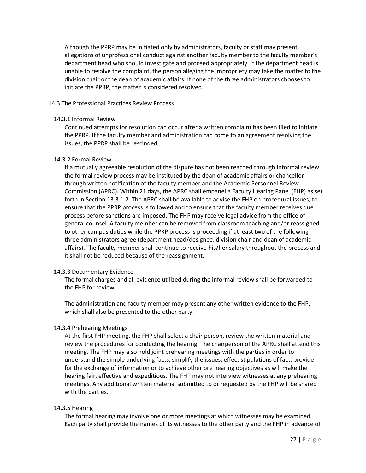Although the PPRP may be initiated only by administrators, faculty or staff may present allegations of unprofessional conduct against another faculty member to the faculty member's department head who should investigate and proceed appropriately. If the department head is unable to resolve the complaint, the person alleging the impropriety may take the matter to the division chair or the dean of academic affairs. If none of the three administrators chooses to initiate the PPRP, the matter is considered resolved.

#### 14.3 The Professional Practices Review Process

#### 14.3.1 Informal Review

Continued attempts for resolution can occur after a written complaint has been filed to initiate the PPRP. If the faculty member and administration can come to an agreement resolving the issues, the PPRP shall be rescinded.

#### 14.3.2 Formal Review

If a mutually agreeable resolution of the dispute has not been reached through informal review, the formal review process may be instituted by the dean of academic affairs or chancellor through written notification of the faculty member and the Academic Personnel Review Commission (APRC). Within 21 days, the APRC shall empanel a Faculty Hearing Panel (FHP) as set forth in Section 13.3.1.2. The APRC shall be available to advise the FHP on procedural issues, to ensure that the PPRP process is followed and to ensure that the faculty member receives due process before sanctions are imposed. The FHP may receive legal advice from the office of general counsel. A faculty member can be removed from classroom teaching and/or reassigned to other campus duties while the PPRP process is proceeding if at least two of the following three administrators agree (department head/designee, division chair and dean of academic affairs). The faculty member shall continue to receive his/her salary throughout the process and it shall not be reduced because of the reassignment.

#### 14.3.3 Documentary Evidence

The formal charges and all evidence utilized during the informal review shall be forwarded to the FHP for review.

The administration and faculty member may present any other written evidence to the FHP, which shall also be presented to the other party.

#### 14.3.4 Prehearing Meetings

At the first FHP meeting, the FHP shall select a chair person, review the written material and review the procedures for conducting the hearing. The chairperson of the APRC shall attend this meeting. The FHP may also hold joint prehearing meetings with the parties in order to understand the simple underlying facts, simplify the issues, effect stipulations of fact, provide for the exchange of information or to achieve other pre hearing objectives as will make the hearing fair, effective and expeditious. The FHP may not interview witnesses at any prehearing meetings. Any additional written material submitted to or requested by the FHP will be shared with the parties.

#### 14.3.5 Hearing

The formal hearing may involve one or more meetings at which witnesses may be examined. Each party shall provide the names of its witnesses to the other party and the FHP in advance of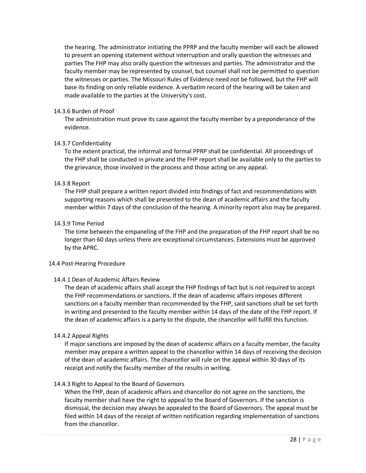the hearing. The administrator initiating the PPRP and the faculty member will each be allowed to present an opening statement without interruption and orally question the witnesses and parties The FHP may also orally question the witnesses and parties. The administrator and the faculty member may be represented by counsel, but counsel shall not be permitted to question the witnesses or parties. The Missouri Rules of Evidence need not be followed, but the FHP will base its finding on only reliable evidence. A verbatim record of the hearing will be taken and made available to the parties at the University's cost.

#### 14.3.6 Burden of Proof

The administration must prove its case against the faculty member by a preponderance of the evidence.

#### 14.3.7 Confidentiality

To the extent practical, the informal and formal PPRP shall be confidential. All proceedings of the FHP shall be conducted in private and the FHP report shall be available only to the parties to the grievance, those involved in the process and those acting on any appeal.

#### 14.3.8 Report

The FHP shall prepare a written report divided into findings of fact and recommendations with supporting reasons which shall be presented to the dean of academic affairs and the faculty member within 7 days of the conclusion of the hearing. A minority report also may be prepared.

#### 14.3.9 Time Period

The time between the empaneling of the FHP and the preparation of the FHP report shall be no longer than 60 days unless there are exceptional circumstances. Extensions must be approved by the APRC.

#### 14.4 Post-Hearing Procedure

#### 14.4.1 Dean of Academic Affairs Review

The dean of academic affairs shall accept the FHP findings of fact but is not required to accept the FHP recommendations or sanctions. If the dean of academic affairs imposes different sanctions on a faculty member than recommended by the FHP, said sanctions shall be set forth in writing and presented to the faculty member within 14 days of the date of the FHP report. If the dean of academic affairs is a party to the dispute, the chancellor will fulfill this function.

#### 14.4.2 Appeal Rights

If major sanctions are imposed by the dean of academic affairs on a faculty member, the faculty member may prepare a written appeal to the chancellor within 14 days of receiving the decision of the dean of academic affairs. The chancellor will rule on the appeal within 30 days of its receipt and notify the faculty member of the results in writing.

#### 14.4.3 Right to Appeal to the Board of Governors

When the FHP, dean of academic affairs and chancellor do not agree on the sanctions, the faculty member shall have the right to appeal to the Board of Governors. If the sanction is dismissal, the decision may always be appealed to the Board of Governors. The appeal must be filed within 14 days of the receipt of written notification regarding implementation of sanctions from the chancellor.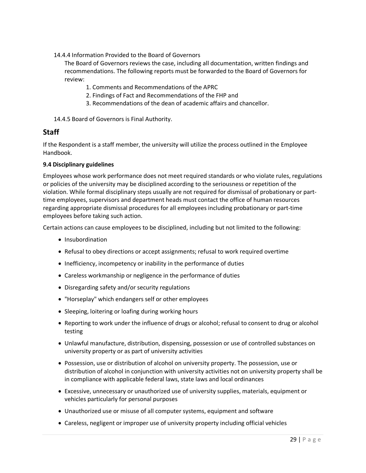14.4.4 Information Provided to the Board of Governors

The Board of Governors reviews the case, including all documentation, written findings and recommendations. The following reports must be forwarded to the Board of Governors for review:

- 1. Comments and Recommendations of the APRC
- 2. Findings of Fact and Recommendations of the FHP and
- 3. Recommendations of the dean of academic affairs and chancellor.

14.4.5 Board of Governors is Final Authority.

# **Staff**

If the Respondent is a staff member, the university will utilize the process outlined in the Employee Handbook.

#### **9.4 Disciplinary guidelines**

Employees whose work performance does not meet required standards or who violate rules, regulations or policies of the university may be disciplined according to the seriousness or repetition of the violation. While formal disciplinary steps usually are not required for dismissal of probationary or parttime employees, supervisors and department heads must contact the office of human resources regarding appropriate dismissal procedures for all employees including probationary or part-time employees before taking such action.

Certain actions can cause employees to be disciplined, including but not limited to the following:

- Insubordination
- Refusal to obey directions or accept assignments; refusal to work required overtime
- Inefficiency, incompetency or inability in the performance of duties
- Careless workmanship or negligence in the performance of duties
- Disregarding safety and/or security regulations
- "Horseplay" which endangers self or other employees
- Sleeping, loitering or loafing during working hours
- Reporting to work under the influence of drugs or alcohol; refusal to consent to drug or alcohol testing
- Unlawful manufacture, distribution, dispensing, possession or use of controlled substances on university property or as part of university activities
- Possession, use or distribution of alcohol on university property. The possession, use or distribution of alcohol in conjunction with university activities not on university property shall be in compliance with applicable federal laws, state laws and local ordinances
- Excessive, unnecessary or unauthorized use of university supplies, materials, equipment or vehicles particularly for personal purposes
- Unauthorized use or misuse of all computer systems, equipment and software
- Careless, negligent or improper use of university property including official vehicles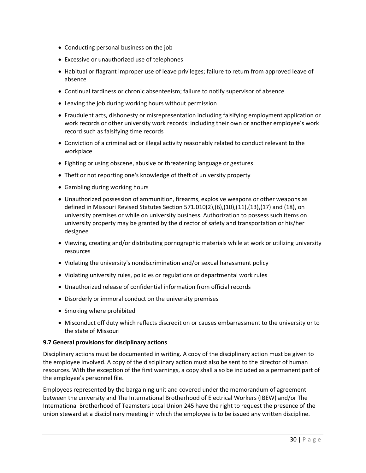- Conducting personal business on the job
- Excessive or unauthorized use of telephones
- Habitual or flagrant improper use of leave privileges; failure to return from approved leave of absence
- Continual tardiness or chronic absenteeism; failure to notify supervisor of absence
- Leaving the job during working hours without permission
- Fraudulent acts, dishonesty or misrepresentation including falsifying employment application or work records or other university work records: including their own or another employee's work record such as falsifying time records
- Conviction of a criminal act or illegal activity reasonably related to conduct relevant to the workplace
- Fighting or using obscene, abusive or threatening language or gestures
- Theft or not reporting one's knowledge of theft of university property
- Gambling during working hours
- Unauthorized possession of ammunition, firearms, explosive weapons or other weapons as defined in Missouri Revised Statutes Section 571.010(2),(6),(10),(11),(13),(17) and (18), on university premises or while on university business. Authorization to possess such items on university property may be granted by the director of safety and transportation or his/her designee
- Viewing, creating and/or distributing pornographic materials while at work or utilizing university resources
- Violating the university's nondiscrimination and/or sexual harassment policy
- Violating university rules, policies or regulations or departmental work rules
- Unauthorized release of confidential information from official records
- Disorderly or immoral conduct on the university premises
- Smoking where prohibited
- Misconduct off duty which reflects discredit on or causes embarrassment to the university or to the state of Missouri

#### **9.7 General provisions for disciplinary actions**

Disciplinary actions must be documented in writing. A copy of the disciplinary action must be given to the employee involved. A copy of the disciplinary action must also be sent to the director of human resources. With the exception of the first warnings, a copy shall also be included as a permanent part of the employee's personnel file.

Employees represented by the bargaining unit and covered under the memorandum of agreement between the university and The International Brotherhood of Electrical Workers (IBEW) and/or The International Brotherhood of Teamsters Local Union 245 have the right to request the presence of the union steward at a disciplinary meeting in which the employee is to be issued any written discipline.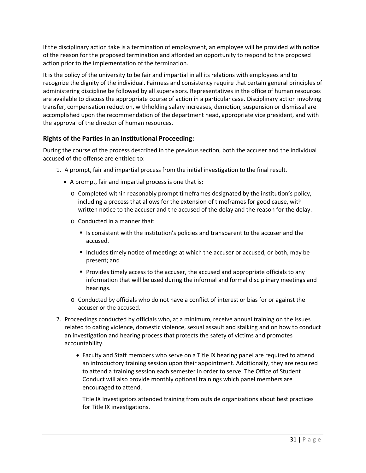If the disciplinary action take is a termination of employment, an employee will be provided with notice of the reason for the proposed termination and afforded an opportunity to respond to the proposed action prior to the implementation of the termination.

It is the policy of the university to be fair and impartial in all its relations with employees and to recognize the dignity of the individual. Fairness and consistency require that certain general principles of administering discipline be followed by all supervisors. Representatives in the office of human resources are available to discuss the appropriate course of action in a particular case. Disciplinary action involving transfer, compensation reduction, withholding salary increases, demotion, suspension or dismissal are accomplished upon the recommendation of the department head, appropriate vice president, and with the approval of the director of human resources.

# **Rights of the Parties in an Institutional Proceeding:**

During the course of the process described in the previous section, both the accuser and the individual accused of the offense are entitled to:

- 1. A prompt, fair and impartial process from the initial investigation to the final result.
	- A prompt, fair and impartial process is one that is:
		- o Completed within reasonably prompt timeframes designated by the institution's policy, including a process that allows for the extension of timeframes for good cause, with written notice to the accuser and the accused of the delay and the reason for the delay.
		- o Conducted in a manner that:
			- Is consistent with the institution's policies and transparent to the accuser and the accused.
			- Includes timely notice of meetings at which the accuser or accused, or both, may be present; and
			- **Provides timely access to the accuser, the accused and appropriate officials to any** information that will be used during the informal and formal disciplinary meetings and hearings.
		- o Conducted by officials who do not have a conflict of interest or bias for or against the accuser or the accused.
- 2. Proceedings conducted by officials who, at a minimum, receive annual training on the issues related to dating violence, domestic violence, sexual assault and stalking and on how to conduct an investigation and hearing process that protects the safety of victims and promotes accountability.
	- Faculty and Staff members who serve on a Title IX hearing panel are required to attend an introductory training session upon their appointment. Additionally, they are required to attend a training session each semester in order to serve. The Office of Student Conduct will also provide monthly optional trainings which panel members are encouraged to attend.

Title IX Investigators attended training from outside organizations about best practices for Title IX investigations.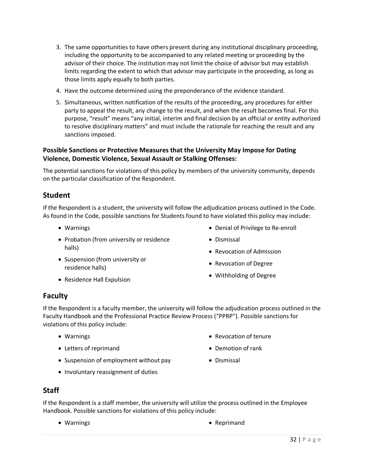- 3. The same opportunities to have others present during any institutional disciplinary proceeding, including the opportunity to be accompanied to any related meeting or proceeding by the advisor of their choice. The institution may not limit the choice of advisor but may establish limits regarding the extent to which that advisor may participate in the proceeding, as long as those limits apply equally to both parties.
- 4. Have the outcome determined using the preponderance of the evidence standard.
- 5. Simultaneous, written notification of the results of the proceeding, any procedures for either party to appeal the result, any change to the result, and when the result becomes final. For this purpose, "result" means "any initial, interim and final decision by an official or entity authorized to resolve disciplinary matters" and must include the rationale for reaching the result and any sanctions imposed.

### **Possible Sanctions or Protective Measures that the University May Impose for Dating Violence, Domestic Violence, Sexual Assault or Stalking Offenses:**

The potential sanctions for violations of this policy by members of the university community, depends on the particular classification of the Respondent.

### **Student**

If the Respondent is a student, the university will follow the adjudication process outlined in the Code. As found in the Code, possible sanctions for Students found to have violated this policy may include:

- Warnings
- Probation (from university or residence halls)
- Suspension (from university or residence halls)
- Residence Hall Expulsion
- Denial of Privilege to Re-enroll
- Dismissal
- Revocation of Admission
- Revocation of Degree
- Withholding of Degree

# **Faculty**

If the Respondent is a faculty member, the university will follow the adjudication process outlined in the Faculty Handbook and the Professional Practice Review Process ("PPRP"). Possible sanctions for violations of this policy include:

- Warnings
- Letters of reprimand
- Suspension of employment without pay
- Involuntary reassignment of duties
- Revocation of tenure
- Demotion of rank
- Dismissal

# **Staff**

If the Respondent is a staff member, the university will utilize the process outlined in the Employee Handbook. Possible sanctions for violations of this policy include:

- 
- Warnings  **Warnings Reprimand**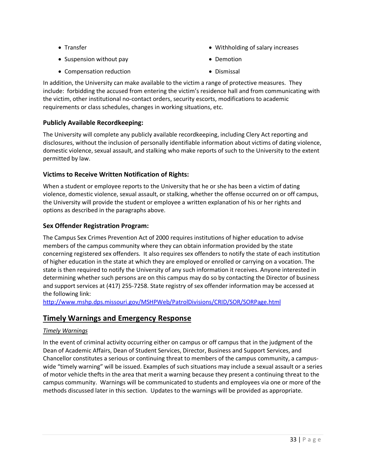• Transfer

• Withholding of salary increases

• Suspension without pay

• Demotion

• Compensation reduction

• Dismissal

In addition, the University can make available to the victim a range of protective measures. They include: forbidding the accused from entering the victim's residence hall and from communicating with the victim, other institutional no-contact orders, security escorts, modifications to academic requirements or class schedules, changes in working situations, etc.

# **Publicly Available Recordkeeping:**

The University will complete any publicly available recordkeeping, including Clery Act reporting and disclosures, without the inclusion of personally identifiable information about victims of dating violence, domestic violence, sexual assault, and stalking who make reports of such to the University to the extent permitted by law.

# **Victims to Receive Written Notification of Rights:**

When a student or employee reports to the University that he or she has been a victim of dating violence, domestic violence, sexual assault, or stalking, whether the offense occurred on or off campus, the University will provide the student or employee a written explanation of his or her rights and options as described in the paragraphs above.

# **Sex Offender Registration Program:**

The Campus Sex Crimes Prevention Act of 2000 requires institutions of higher education to advise members of the campus community where they can obtain information provided by the state concerning registered sex offenders. It also requires sex offenders to notify the state of each institution of higher education in the state at which they are employed or enrolled or carrying on a vocation. The state is then required to notify the University of any such information it receives. Anyone interested in determining whether such persons are on this campus may do so by contacting the Director of business and support services at (417) 255-7258. State registry of sex offender information may be accessed at the following link:

<http://www.mshp.dps.missouri.gov/MSHPWeb/PatrolDivisions/CRID/SOR/SORPage.html>

# **Timely Warnings and Emergency Response**

# *Timely Warnings*

In the event of criminal activity occurring either on campus or off campus that in the judgment of the Dean of Academic Affairs, Dean of Student Services, Director, Business and Support Services, and Chancellor constitutes a serious or continuing threat to members of the campus community, a campuswide "timely warning" will be issued. Examples of such situations may include a sexual assault or a series of motor vehicle thefts in the area that merit a warning because they present a continuing threat to the campus community. Warnings will be communicated to students and employees via one or more of the methods discussed later in this section. Updates to the warnings will be provided as appropriate.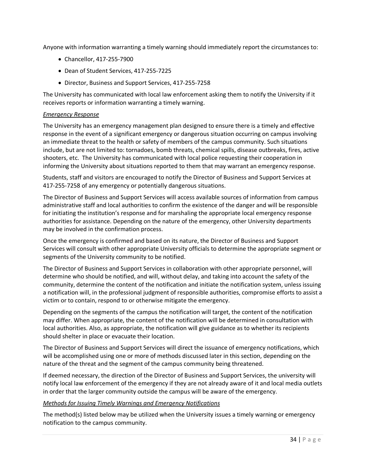Anyone with information warranting a timely warning should immediately report the circumstances to:

- Chancellor, 417-255-7900
- Dean of Student Services, 417-255-7225
- Director, Business and Support Services, 417-255-7258

The University has communicated with local law enforcement asking them to notify the University if it receives reports or information warranting a timely warning.

#### *Emergency Response*

The University has an emergency management plan designed to ensure there is a timely and effective response in the event of a significant emergency or dangerous situation occurring on campus involving an immediate threat to the health or safety of members of the campus community. Such situations include, but are not limited to: tornadoes, bomb threats, chemical spills, disease outbreaks, fires, active shooters, etc. The University has communicated with local police requesting their cooperation in informing the University about situations reported to them that may warrant an emergency response.

Students, staff and visitors are encouraged to notify the Director of Business and Support Services at 417-255-7258 of any emergency or potentially dangerous situations.

The Director of Business and Support Services will access available sources of information from campus administrative staff and local authorities to confirm the existence of the danger and will be responsible for initiating the institution's response and for marshaling the appropriate local emergency response authorities for assistance. Depending on the nature of the emergency, other University departments may be involved in the confirmation process.

Once the emergency is confirmed and based on its nature, the Director of Business and Support Services will consult with other appropriate University officials to determine the appropriate segment or segments of the University community to be notified.

The Director of Business and Support Services in collaboration with other appropriate personnel, will determine who should be notified, and will, without delay, and taking into account the safety of the community, determine the content of the notification and initiate the notification system, unless issuing a notification will, in the professional judgment of responsible authorities, compromise efforts to assist a victim or to contain, respond to or otherwise mitigate the emergency.

Depending on the segments of the campus the notification will target, the content of the notification may differ. When appropriate, the content of the notification will be determined in consultation with local authorities. Also, as appropriate, the notification will give guidance as to whether its recipients should shelter in place or evacuate their location.

The Director of Business and Support Services will direct the issuance of emergency notifications, which will be accomplished using one or more of methods discussed later in this section, depending on the nature of the threat and the segment of the campus community being threatened.

If deemed necessary, the direction of the Director of Business and Support Services, the university will notify local law enforcement of the emergency if they are not already aware of it and local media outlets in order that the larger community outside the campus will be aware of the emergency.

#### *Methods for Issuing Timely Warnings and Emergency Notifications*

The method(s) listed below may be utilized when the University issues a timely warning or emergency notification to the campus community.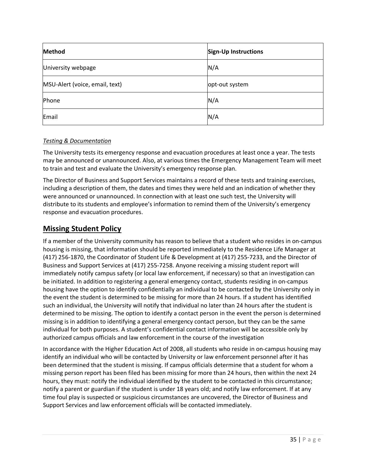| Method                         | <b>Sign-Up Instructions</b> |
|--------------------------------|-----------------------------|
| University webpage             | N/A                         |
| MSU-Alert (voice, email, text) | opt-out system              |
| Phone                          | N/A                         |
| Email                          | N/A                         |

#### *Testing & Documentation*

The University tests its emergency response and evacuation procedures at least once a year. The tests may be announced or unannounced. Also, at various times the Emergency Management Team will meet to train and test and evaluate the University's emergency response plan.

The Director of Business and Support Services maintains a record of these tests and training exercises, including a description of them, the dates and times they were held and an indication of whether they were announced or unannounced. In connection with at least one such test, the University will distribute to its students and employee's information to remind them of the University's emergency response and evacuation procedures.

# **Missing Student Policy**

If a member of the University community has reason to believe that a student who resides in on-campus housing is missing, that information should be reported immediately to the Residence Life Manager at (417) 256-1870, the Coordinator of Student Life & Development at (417) 255-7233, and the Director of Business and Support Services at (417) 255-7258. Anyone receiving a missing student report will immediately notify campus safety (or local law enforcement, if necessary) so that an investigation can be initiated. In addition to registering a general emergency contact, students residing in on-campus housing have the option to identify confidentially an individual to be contacted by the University only in the event the student is determined to be missing for more than 24 hours. If a student has identified such an individual, the University will notify that individual no later than 24 hours after the student is determined to be missing. The option to identify a contact person in the event the person is determined missing is in addition to identifying a general emergency contact person, but they can be the same individual for both purposes. A student's confidential contact information will be accessible only by authorized campus officials and law enforcement in the course of the investigation

In accordance with the Higher Education Act of 2008, all students who reside in on-campus housing may identify an individual who will be contacted by University or law enforcement personnel after it has been determined that the student is missing. If campus officials determine that a student for whom a missing person report has been filed has been missing for more than 24 hours, then within the next 24 hours, they must: notify the individual identified by the student to be contacted in this circumstance; notify a parent or guardian if the student is under 18 years old; and notify law enforcement. If at any time foul play is suspected or suspicious circumstances are uncovered, the Director of Business and Support Services and law enforcement officials will be contacted immediately.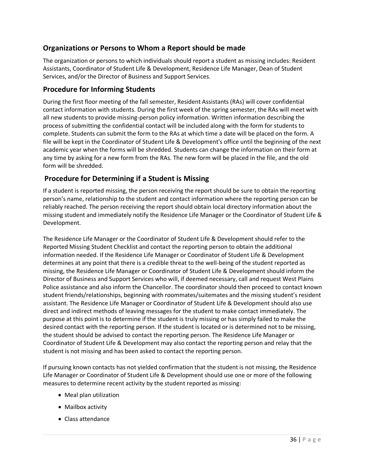# **Organizations or Persons to Whom a Report should be made**

The organization or persons to which individuals should report a student as missing includes: Resident Assistants, Coordinator of Student Life & Development, Residence Life Manager, Dean of Student Services, and/or the Director of Business and Support Services.

### **Procedure for Informing Students**

During the first floor meeting of the fall semester, Resident Assistants (RAs) will cover confidential contact information with students. During the first week of the spring semester, the RAs will meet with all new students to provide missing-person policy information. Written information describing the process of submitting the confidential contact will be included along with the form for students to complete. Students can submit the form to the RAs at which time a date will be placed on the form. A file will be kept in the Coordinator of Student Life & Development's office until the beginning of the next academic year when the forms will be shredded. Students can change the information on their form at any time by asking for a new form from the RAs. The new form will be placed in the file, and the old form will be shredded.

# **Procedure for Determining if a Student is Missing**

If a student is reported missing, the person receiving the report should be sure to obtain the reporting person's name, relationship to the student and contact information where the reporting person can be reliably reached. The person receiving the report should obtain local directory information about the missing student and immediately notify the Residence Life Manager or the Coordinator of Student Life & Development.

The Residence Life Manager or the Coordinator of Student Life & Development should refer to the Reported Missing Student Checklist and contact the reporting person to obtain the additional information needed. If the Residence Life Manager or Coordinator of Student Life & Development determines at any point that there is a credible threat to the well-being of the student reported as missing, the Residence Life Manager or Coordinator of Student Life & Development should inform the Director of Business and Support Services who will, if deemed necessary, call and request West Plains Police assistance and also inform the Chancellor. The coordinator should then proceed to contact known student friends/relationships, beginning with roommates/suitemates and the missing student's resident assistant. The Residence Life Manager or Coordinator of Student Life & Development should also use direct and indirect methods of leaving messages for the student to make contact immediately. The purpose at this point is to determine if the student is truly missing or has simply failed to make the desired contact with the reporting person. If the student is located or is determined not to be missing, the student should be advised to contact the reporting person. The Residence Life Manager or Coordinator of Student Life & Development may also contact the reporting person and relay that the student is not missing and has been asked to contact the reporting person.

If pursuing known contacts has not yielded confirmation that the student is not missing, the Residence Life Manager or Coordinator of Student Life & Development should use one or more of the following measures to determine recent activity by the student reported as missing:

- Meal plan utilization
- Mailbox activity
- Class attendance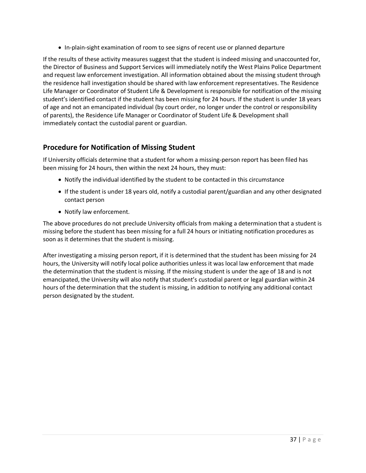• In-plain-sight examination of room to see signs of recent use or planned departure

If the results of these activity measures suggest that the student is indeed missing and unaccounted for, the Director of Business and Support Services will immediately notify the West Plains Police Department and request law enforcement investigation. All information obtained about the missing student through the residence hall investigation should be shared with law enforcement representatives. The Residence Life Manager or Coordinator of Student Life & Development is responsible for notification of the missing student's identified contact if the student has been missing for 24 hours. If the student is under 18 years of age and not an emancipated individual (by court order, no longer under the control or responsibility of parents), the Residence Life Manager or Coordinator of Student Life & Development shall immediately contact the custodial parent or guardian.

# **Procedure for Notification of Missing Student**

If University officials determine that a student for whom a missing-person report has been filed has been missing for 24 hours, then within the next 24 hours, they must:

- Notify the individual identified by the student to be contacted in this circumstance
- If the student is under 18 years old, notify a custodial parent/guardian and any other designated contact person
- Notify law enforcement.

The above procedures do not preclude University officials from making a determination that a student is missing before the student has been missing for a full 24 hours or initiating notification procedures as soon as it determines that the student is missing.

After investigating a missing person report, if it is determined that the student has been missing for 24 hours, the University will notify local police authorities unless it was local law enforcement that made the determination that the student is missing. If the missing student is under the age of 18 and is not emancipated, the University will also notify that student's custodial parent or legal guardian within 24 hours of the determination that the student is missing, in addition to notifying any additional contact person designated by the student.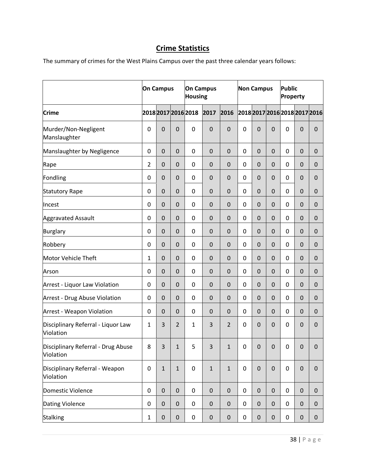# **Crime Statistics**

The summary of crimes for the West Plains Campus over the past three calendar years follows:

|                                                 | <b>On Campus</b> |              |                | <b>On Campus</b><br><b>Housing</b> |              |                | <b>Non Campus</b>             |             |             | <b>Public</b><br>Property |              |             |
|-------------------------------------------------|------------------|--------------|----------------|------------------------------------|--------------|----------------|-------------------------------|-------------|-------------|---------------------------|--------------|-------------|
| <b>Crime</b>                                    |                  |              |                | 2018 2017 2016 2018                | 2017         | 2016           | 2018 2017 2016 2018 2017 2016 |             |             |                           |              |             |
| Murder/Non-Negligent<br>Manslaughter            | $\mathbf 0$      | $\pmb{0}$    | $\mathbf 0$    | 0                                  | $\mathbf 0$  | $\mathbf 0$    | 0                             | $\mathbf 0$ | $\mathbf 0$ | 0                         | $\mathbf 0$  | $\mathbf 0$ |
| Manslaughter by Negligence                      | $\pmb{0}$        | 0            | $\pmb{0}$      | 0                                  | $\mathbf 0$  | $\mathbf 0$    | 0                             | $\mathbf 0$ | $\mathbf 0$ | 0                         | $\mathbf 0$  | $\mathbf 0$ |
| Rape                                            | 2                | $\pmb{0}$    | $\mathbf 0$    | 0                                  | $\mathbf 0$  | $\mathbf 0$    | 0                             | $\mathbf 0$ | 0           | 0                         | 0            | $\mathbf 0$ |
| Fondling                                        | $\mathbf 0$      | $\pmb{0}$    | $\pmb{0}$      | 0                                  | $\mathbf 0$  | $\mathbf 0$    | 0                             | $\mathbf 0$ | $\mathbf 0$ | 0                         | $\mathbf 0$  | $\mathbf 0$ |
| <b>Statutory Rape</b>                           | $\boldsymbol{0}$ | 0            | $\mathbf 0$    | 0                                  | $\mathbf 0$  | $\mathbf 0$    | 0                             | $\mathbf 0$ | $\mathbf 0$ | 0                         | $\mathbf 0$  | $\mathbf 0$ |
| Incest                                          | $\pmb{0}$        | 0            | $\pmb{0}$      | 0                                  | $\mathbf 0$  | $\mathbf 0$    | 0                             | $\mathbf 0$ | $\mathbf 0$ | 0                         | 0            | $\mathbf 0$ |
| <b>Aggravated Assault</b>                       | $\mathbf 0$      | 0            | $\mathbf 0$    | 0                                  | $\mathbf 0$  | $\mathbf 0$    | 0                             | $\mathbf 0$ | 0           | 0                         | $\mathbf 0$  | $\mathbf 0$ |
| Burglary                                        | $\boldsymbol{0}$ | $\mathbf 0$  | $\mathsf 0$    | 0                                  | $\mathbf 0$  | $\mathbf 0$    | 0                             | $\mathbf 0$ | $\mathbf 0$ | 0                         | $\mathbf 0$  | $\mathbf 0$ |
| Robbery                                         | $\mathbf 0$      | $\pmb{0}$    | $\pmb{0}$      | 0                                  | $\mathbf 0$  | $\mathbf 0$    | 0                             | $\mathbf 0$ | $\mathbf 0$ | 0                         | 0            | 0           |
| Motor Vehicle Theft                             | 1                | $\pmb{0}$    | $\pmb{0}$      | 0                                  | $\mathbf 0$  | $\mathbf 0$    | 0                             | $\mathbf 0$ | $\mathbf 0$ | 0                         | $\pmb{0}$    | $\mathbf 0$ |
| Arson                                           | $\mathbf 0$      | $\pmb{0}$    | $\pmb{0}$      | 0                                  | $\mathbf 0$  | $\mathbf 0$    | 0                             | $\mathbf 0$ | $\mathbf 0$ | 0                         | $\mathbf 0$  | $\mathbf 0$ |
| Arrest - Liquor Law Violation                   | $\mathbf 0$      | $\pmb{0}$    | $\mathbf 0$    | 0                                  | $\mathbf 0$  | $\mathbf 0$    | 0                             | $\mathbf 0$ | $\mathbf 0$ | 0                         | $\mathbf 0$  | $\mathbf 0$ |
| Arrest - Drug Abuse Violation                   | $\pmb{0}$        | 0            | $\pmb{0}$      | 0                                  | $\mathbf 0$  | $\mathbf 0$    | 0                             | $\mathbf 0$ | $\mathbf 0$ | 0                         | 0            | $\mathbf 0$ |
| <b>Arrest - Weapon Violation</b>                | $\mathbf 0$      | 0            | 0              | 0                                  | $\mathbf 0$  | 0              | 0                             | $\mathbf 0$ | 0           | 0                         | $\Omega$     | $\mathbf 0$ |
| Disciplinary Referral - Liquor Law<br>Violation | 1                | 3            | $\overline{2}$ | $\mathbf{1}$                       | 3            | $\overline{2}$ | 0                             | $\mathbf 0$ | 0           | 0                         | $\mathbf{0}$ | $\mathbf 0$ |
| Disciplinary Referral - Drug Abuse<br>Violation | $\bf 8$          | 3            | $\mathbf 1$    | 5                                  | 3            | $\mathbf 1$    | $\pmb{0}$                     | $\pmb{0}$   | $\pmb{0}$   | $\boldsymbol{0}$          | $\mathbf 0$  | $\pmb{0}$   |
| Disciplinary Referral - Weapon<br>Violation     | $\pmb{0}$        | $\mathbf{1}$ | $\mathbf{1}$   | 0                                  | $\mathbf{1}$ | $\mathbf{1}$   | $\mathbf 0$                   | $\mathbf 0$ | 0           | $\mathbf 0$               | $\pmb{0}$    | $\pmb{0}$   |
| Domestic Violence                               | $\pmb{0}$        | $\pmb{0}$    | $\pmb{0}$      | 0                                  | $\pmb{0}$    | $\pmb{0}$      | 0                             | $\mathbf 0$ | 0           | 0                         | 0            | $\pmb{0}$   |
| Dating Violence                                 | $\pmb{0}$        | $\pmb{0}$    | $\pmb{0}$      | 0                                  | $\pmb{0}$    | $\pmb{0}$      | 0                             | $\mathbf 0$ | $\mathbf 0$ | 0                         | 0            | $\pmb{0}$   |
| Stalking                                        | $\mathbf{1}$     | $\pmb{0}$    | $\pmb{0}$      | 0                                  | $\pmb{0}$    | $\pmb{0}$      | 0                             | $\pmb{0}$   | 0           | 0                         | 0            | 0           |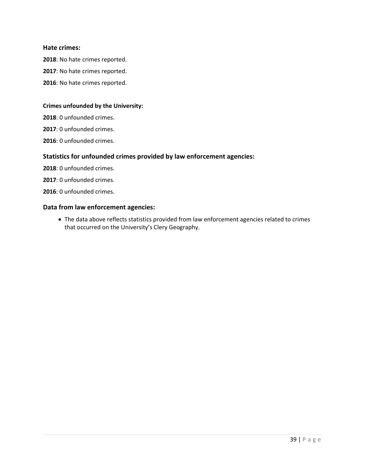#### **Hate crimes:**

: No hate crimes reported.

- : No hate crimes reported.
- : No hate crimes reported.

#### **Crimes unfounded by the University:**

: 0 unfounded crimes.

: 0 unfounded crimes.

: 0 unfounded crimes.

#### **Statistics for unfounded crimes provided by law enforcement agencies:**

: 0 unfounded crimes.

- : 0 unfounded crimes.
- : 0 unfounded crimes.

#### **Data from law enforcement agencies:**

• The data above reflects statistics provided from law enforcement agencies related to crimes that occurred on the University's Clery Geography.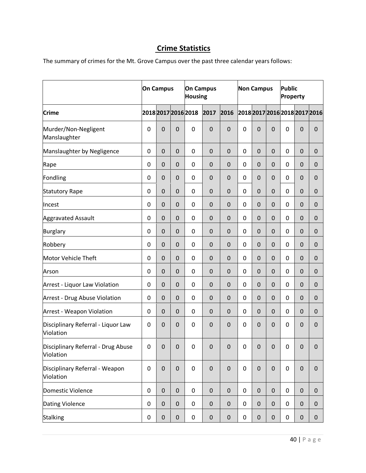# **Crime Statistics**

The summary of crimes for the Mt. Grove Campus over the past three calendar years follows:

|                                                 | <b>On Campus</b> |             |             | <b>On Campus</b><br><b>Housing</b> |             |             | <b>Non Campus</b>             |                |                | <b>Public</b><br>Property |                |             |
|-------------------------------------------------|------------------|-------------|-------------|------------------------------------|-------------|-------------|-------------------------------|----------------|----------------|---------------------------|----------------|-------------|
| <b>Crime</b>                                    |                  |             |             | 2018 2017 2016 2018                | 2017        | 2016        | 2018 2017 2016 2018 2017 2016 |                |                |                           |                |             |
| Murder/Non-Negligent<br>Manslaughter            | $\mathbf 0$      | $\pmb{0}$   | 0           | $\pmb{0}$                          | $\mathbf 0$ | $\mathbf 0$ | 0                             | $\mathbf 0$    | $\mathbf 0$    | 0                         | $\mathbf 0$    | $\mathbf 0$ |
| Manslaughter by Negligence                      | $\pmb{0}$        | $\pmb{0}$   | $\mathbf 0$ | $\mathbf 0$                        | $\mathbf 0$ | $\mathbf 0$ | 0                             | $\mathbf 0$    | $\mathbf 0$    | 0                         | $\mathbf 0$    | 0           |
| Rape                                            | $\mathbf 0$      | $\pmb{0}$   | $\mathbf 0$ | 0                                  | $\mathbf 0$ | $\mathbf 0$ | 0                             | $\mathbf 0$    | $\mathbf 0$    | 0                         | $\mathbf 0$    | $\mathbf 0$ |
| Fondling                                        | $\mathbf 0$      | $\mathbf 0$ | $\mathbf 0$ | $\mathbf 0$                        | $\mathbf 0$ | $\mathbf 0$ | 0                             | $\mathbf 0$    | $\mathbf 0$    | 0                         | $\mathbf 0$    | $\mathbf 0$ |
| <b>Statutory Rape</b>                           | 0                | 0           | 0           | 0                                  | $\mathbf 0$ | $\mathbf 0$ | 0                             | $\mathbf 0$    | $\mathbf 0$    | 0                         | $\mathbf 0$    | $\mathbf 0$ |
| Incest                                          | 0                | 0           | 0           | 0                                  | $\mathbf 0$ | 0           | 0                             | 0              | 0              | 0                         | 0              | 0           |
| <b>Aggravated Assault</b>                       | $\mathbf 0$      | $\mathbf 0$ | $\mathbf 0$ | 0                                  | $\mathbf 0$ | $\mathbf 0$ | 0                             | $\mathbf 0$    | $\overline{0}$ | 0                         | $\overline{0}$ | $\mathbf 0$ |
| Burglary                                        | $\mathbf 0$      | $\mathbf 0$ | $\mathbf 0$ | 0                                  | $\mathbf 0$ | $\mathbf 0$ | 0                             | $\mathbf 0$    | $\mathbf 0$    | 0                         | $\mathbf 0$    | $\mathbf 0$ |
| Robbery                                         | $\pmb{0}$        | $\pmb{0}$   | 0           | 0                                  | $\mathbf 0$ | $\mathbf 0$ | 0                             | $\mathbf 0$    | $\mathbf 0$    | 0                         | $\mathbf{0}$   | 0           |
| Motor Vehicle Theft                             | $\mathbf 0$      | 0           | $\mathbf 0$ | 0                                  | $\mathbf 0$ | $\mathbf 0$ | 0                             | $\mathbf 0$    | $\mathbf 0$    | 0                         | $\mathbf 0$    | $\mathbf 0$ |
| Arson                                           | $\mathbf 0$      | $\pmb{0}$   | $\pmb{0}$   | $\mathbf 0$                        | $\mathbf 0$ | $\mathbf 0$ | $\mathbf 0$                   | $\mathbf 0$    | $\mathbf 0$    | 0                         | $\mathbf 0$    | $\mathbf 0$ |
| Arrest - Liquor Law Violation                   | $\mathbf 0$      | $\mathbf 0$ | $\mathbf 0$ | $\mathbf 0$                        | $\mathbf 0$ | $\mathbf 0$ | 0                             | 0              | $\mathbf 0$    | 0                         | $\mathbf 0$    | $\mathbf 0$ |
| Arrest - Drug Abuse Violation                   | 0                | 0           | 0           | 0                                  | $\mathbf 0$ | $\mathbf 0$ | 0                             | $\mathbf 0$    | $\mathbf 0$    | 0                         | $\mathbf 0$    | $\mathbf 0$ |
| <b>Arrest - Weapon Violation</b>                | 0                | $\pmb{0}$   | $\mathbf 0$ | 0                                  | $\mathbf 0$ | $\mathbf 0$ | 0                             | $\mathbf 0$    | $\mathbf 0$    | 0                         | $\overline{0}$ | $\mathbf 0$ |
| Disciplinary Referral - Liquor Law<br>Violation | 0                | $\mathbf 0$ | $\mathbf 0$ | 0                                  | $\Omega$    | $\mathbf 0$ | 0                             | 0              | $\overline{0}$ | 0                         | $\overline{0}$ | $\mathbf 0$ |
| Disciplinary Referral - Drug Abuse<br>Violation | $\pmb{0}$        | $\pmb{0}$   | $\pmb{0}$   | $\pmb{0}$                          | $\pmb{0}$   | $\mathsf 0$ | $\pmb{0}$                     | $\overline{0}$ | $\pmb{0}$      | $\pmb{0}$                 | $\pmb{0}$      | $\mathbf 0$ |
| Disciplinary Referral - Weapon<br>Violation     | $\pmb{0}$        | $\pmb{0}$   | $\pmb{0}$   | $\pmb{0}$                          | $\pmb{0}$   | $\mathbf 0$ | $\mathbf 0$                   | $\mathbf 0$    | $\pmb{0}$      | 0                         | $\pmb{0}$      | $\mathbf 0$ |
| Domestic Violence                               | $\pmb{0}$        | $\pmb{0}$   | $\pmb{0}$   | 0                                  | $\pmb{0}$   | $\pmb{0}$   | 0                             | $\mathbf 0$    | $\pmb{0}$      | 0                         | 0              | $\mathbf 0$ |
| Dating Violence                                 | $\pmb{0}$        | $\pmb{0}$   | $\pmb{0}$   | 0                                  | $\pmb{0}$   | $\pmb{0}$   | 0                             | $\mathbf 0$    | $\pmb{0}$      | 0                         | $\pmb{0}$      | $\pmb{0}$   |
| <b>Stalking</b>                                 | $\pmb{0}$        | $\pmb{0}$   | 0           | 0                                  | $\pmb{0}$   | $\pmb{0}$   | 0                             | 0              | 0              | 0                         | 0              | 0           |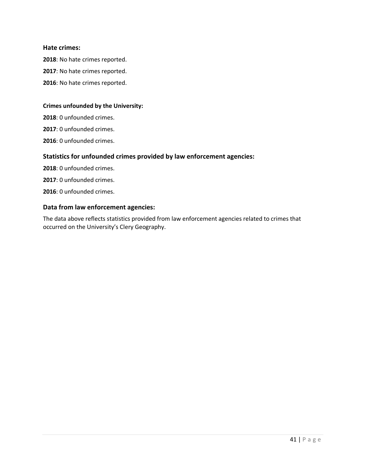#### **Hate crimes:**

: No hate crimes reported.

- : No hate crimes reported.
- : No hate crimes reported.

#### **Crimes unfounded by the University:**

: 0 unfounded crimes.

: 0 unfounded crimes.

: 0 unfounded crimes.

#### **Statistics for unfounded crimes provided by law enforcement agencies:**

: 0 unfounded crimes.

: 0 unfounded crimes.

: 0 unfounded crimes.

#### **Data from law enforcement agencies:**

The data above reflects statistics provided from law enforcement agencies related to crimes that occurred on the University's Clery Geography.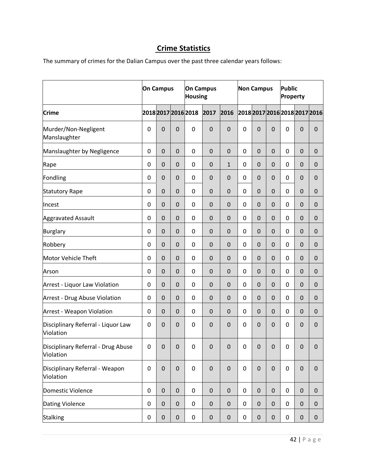# **Crime Statistics**

The summary of crimes for the Dalian Campus over the past three calendar years follows:

|                                                 | <b>On Campus</b> |                     |                     | <b>On Campus</b><br><b>Housing</b> |                  |              | <b>Non Campus</b>             |             |             | <b>Public</b><br>Property |                |                  |
|-------------------------------------------------|------------------|---------------------|---------------------|------------------------------------|------------------|--------------|-------------------------------|-------------|-------------|---------------------------|----------------|------------------|
| <b>Crime</b>                                    |                  |                     |                     | 2018 2017 2016 2018                | 2017             | 2016         | 2018 2017 2016 2018 2017 2016 |             |             |                           |                |                  |
| Murder/Non-Negligent<br>Manslaughter            | $\mathbf 0$      | $\mathsf{O}\xspace$ | $\mathbf 0$         | 0                                  | $\mathbf 0$      | $\mathbf 0$  | $\mathbf 0$                   | $\mathbf 0$ | $\mathbf 0$ | 0                         | $\mathbf 0$    | $\mathbf 0$      |
| Manslaughter by Negligence                      | $\boldsymbol{0}$ | $\pmb{0}$           | $\pmb{0}$           | 0                                  | $\mathbf 0$      | $\mathbf 0$  | $\pmb{0}$                     | $\mathbf 0$ | 0           | 0                         | 0              | $\boldsymbol{0}$ |
| Rape                                            | $\mathbf 0$      | $\pmb{0}$           | $\pmb{0}$           | 0                                  | $\mathbf 0$      | $\mathbf{1}$ | 0                             | $\mathbf 0$ | $\mathbf 0$ | 0                         | $\mathbf 0$    | $\mathbf 0$      |
| Fondling                                        | $\mathbf 0$      | $\pmb{0}$           | $\pmb{0}$           | 0                                  | $\mathbf 0$      | $\mathbf 0$  | 0                             | $\mathbf 0$ | $\mathbf 0$ | 0                         | $\mathbf 0$    | $\mathbf 0$      |
| Statutory Rape                                  | $\pmb{0}$        | 0                   | $\pmb{0}$           | 0                                  | $\mathbf 0$      | $\mathbf 0$  | 0                             | $\mathbf 0$ | $\mathbf 0$ | 0                         | 0              | $\mathbf 0$      |
| Incest                                          | 0                | 0                   | 0                   | 0                                  | $\mathbf 0$      | $\mathbf 0$  | 0                             | $\mathbf 0$ | 0           | 0                         | 0              | $\mathbf 0$      |
| <b>Aggravated Assault</b>                       |                  | $\pmb{0}$           | $\pmb{0}$           | 0                                  | $\mathbf 0$      | $\mathbf 0$  | 0                             | $\mathbf 0$ | $\mathbf 0$ | 0                         | $\mathbf 0$    | $\mathbf 0$      |
| Burglary                                        | $\mathbf 0$      | $\mathbf 0$         | $\mathbf 0$         | 0                                  | $\mathbf 0$      | $\mathbf 0$  | 0                             | $\mathbf 0$ | $\mathbf 0$ | 0                         | $\mathbf 0$    | $\mathbf 0$      |
| Robbery                                         | $\mathbf 0$      | 0                   | $\pmb{0}$           | 0                                  | $\mathbf 0$      | $\mathbf 0$  | 0                             | $\mathbf 0$ | $\mathbf 0$ | 0                         | $\mathbf 0$    | $\mathbf 0$      |
| Motor Vehicle Theft                             | $\mathbf 0$      | $\mathsf{O}\xspace$ | $\mathsf{O}\xspace$ | 0                                  | $\mathbf 0$      | $\mathbf 0$  | 0                             | $\mathbf 0$ | $\mathbf 0$ | 0                         | $\mathbf 0$    | $\mathbf 0$      |
| Arson                                           | $\boldsymbol{0}$ | $\pmb{0}$           | $\pmb{0}$           | 0                                  | $\mathbf 0$      | $\mathbf 0$  | 0                             | $\mathbf 0$ | $\mathbf 0$ | 0                         | $\pmb{0}$      | $\mathbf 0$      |
| Arrest - Liquor Law Violation                   | 0                | 0                   | $\pmb{0}$           | 0                                  | $\mathbf 0$      | $\mathbf 0$  | 0                             | $\mathbf 0$ | $\mathbf 0$ | 0                         | $\mathbf 0$    | $\mathbf 0$      |
| Arrest - Drug Abuse Violation                   | $\mathbf 0$      | 0                   | $\pmb{0}$           | 0                                  | $\mathbf 0$      | $\mathbf 0$  | 0                             | $\mathbf 0$ | 0           | 0                         | 0              | $\mathbf 0$      |
| <b>Arrest - Weapon Violation</b>                | $\boldsymbol{0}$ | $\pmb{0}$           | $\mathsf{O}\xspace$ | 0                                  | $\mathbf 0$      | $\mathbf 0$  | 0                             | $\mathbf 0$ | $\mathbf 0$ | 0                         | $\mathbf 0$    | $\mathbf 0$      |
| Disciplinary Referral - Liquor Law<br>Violation | $\mathbf 0$      | $\mathbf 0$         | $\mathbf 0$         | 0                                  | $\mathbf 0$      | $\mathbf 0$  | 0                             | $\mathbf 0$ | $\mathbf 0$ | 0                         | $\overline{0}$ | $\mathbf 0$      |
| Disciplinary Referral - Drug Abuse<br>Violation | 0                | $\pmb{0}$           | $\pmb{0}$           | $\pmb{0}$                          | $\pmb{0}$        | $\mathbf 0$  | 0                             | $\mathbf 0$ | $\pmb{0}$   | 0                         | $\mathbf 0$    | $\pmb{0}$        |
| Disciplinary Referral - Weapon<br>Violation     | $\pmb{0}$        | $\pmb{0}$           | $\pmb{0}$           | $\pmb{0}$                          | $\boldsymbol{0}$ | $\pmb{0}$    | $\pmb{0}$                     | $\mathbf 0$ | $\pmb{0}$   | $\mathbf 0$               | $\pmb{0}$      | $\pmb{0}$        |
| Domestic Violence                               | $\pmb{0}$        | $\pmb{0}$           | $\boldsymbol{0}$    | 0                                  | $\mathbf 0$      | $\mathbf 0$  | 0                             | $\mathbf 0$ | 0           | $\mathbf 0$               | $\pmb{0}$      | $\mathbf 0$      |
| Dating Violence                                 | $\pmb{0}$        | $\pmb{0}$           | $\pmb{0}$           | 0                                  | $\pmb{0}$        | $\pmb{0}$    | 0                             | $\mathbf 0$ | 0           | 0                         | $\pmb{0}$      | $\pmb{0}$        |
| <b>Stalking</b>                                 | $\pmb{0}$        | $\pmb{0}$           | $\pmb{0}$           | $\pmb{0}$                          | $\pmb{0}$        | $\pmb{0}$    | 0                             | $\pmb{0}$   | 0           | 0                         | 0              | $\pmb{0}$        |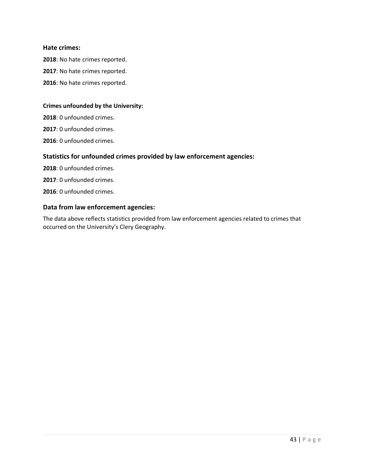#### **Hate crimes:**

: No hate crimes reported.

- : No hate crimes reported.
- : No hate crimes reported.

#### **Crimes unfounded by the University:**

: 0 unfounded crimes.

: 0 unfounded crimes.

: 0 unfounded crimes.

#### **Statistics for unfounded crimes provided by law enforcement agencies:**

: 0 unfounded crimes.

: 0 unfounded crimes.

: 0 unfounded crimes.

#### **Data from law enforcement agencies:**

The data above reflects statistics provided from law enforcement agencies related to crimes that occurred on the University's Clery Geography.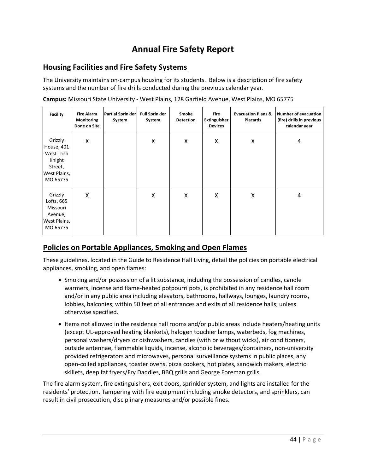# **Annual Fire Safety Report**

# **Housing Facilities and Fire Safety Systems**

The University maintains on-campus housing for its students. Below is a description of fire safety systems and the number of fire drills conducted during the previous calendar year.

| <b>Facility</b>                                                                      | <b>Fire Alarm</b><br>Monitoring<br>Done on Site | <b>Partial Sprinkler</b><br>System | <b>Full Sprinkler</b><br>System | Smoke<br><b>Detection</b> | <b>Fire</b><br>Extinguisher<br><b>Devices</b> | <b>Evacuation Plans &amp;</b><br><b>Placards</b> | Number of evacuation<br>(fire) drills in previous<br>calendar year |
|--------------------------------------------------------------------------------------|-------------------------------------------------|------------------------------------|---------------------------------|---------------------------|-----------------------------------------------|--------------------------------------------------|--------------------------------------------------------------------|
| Grizzly<br>House, 401<br>West Trish<br>Knight<br>Street,<br>West Plains,<br>MO 65775 | X                                               |                                    | Χ                               | Χ                         | Χ                                             | Χ                                                | 4                                                                  |
| Grizzly<br>Lofts, 665<br>Missouri<br>Avenue,<br>West Plains,<br>MO 65775             | X                                               |                                    | Χ                               | Χ                         | X                                             | Χ                                                | 4                                                                  |

**Campus:** Missouri State University - West Plains, 128 Garfield Avenue, West Plains, MO 65775

# **Policies on Portable Appliances, Smoking and Open Flames**

These guidelines, located in the Guide to Residence Hall Living, detail the policies on portable electrical appliances, smoking, and open flames:

- Smoking and/or possession of a lit substance, including the possession of candles, candle warmers, incense and flame-heated potpourri pots, is prohibited in any residence hall room and/or in any public area including elevators, bathrooms, hallways, lounges, laundry rooms, lobbies, balconies, within 50 feet of all entrances and exits of all residence halls, unless otherwise specified.
- Items not allowed in the residence hall rooms and/or public areas include heaters/heating units (except UL-approved heating blankets), halogen touchier lamps, waterbeds, fog machines, personal washers/dryers or dishwashers, candles (with or without wicks), air conditioners, outside antennae, flammable liquids, incense, alcoholic beverages/containers, non-university provided refrigerators and microwaves, personal surveillance systems in public places, any open-coiled appliances, toaster ovens, pizza cookers, hot plates, sandwich makers, electric skillets, deep fat fryers/Fry Daddies, BBQ grills and George Foreman grills.

The fire alarm system, fire extinguishers, exit doors, sprinkler system, and lights are installed for the residents' protection. Tampering with fire equipment including smoke detectors, and sprinklers, can result in civil prosecution, disciplinary measures and/or possible fines.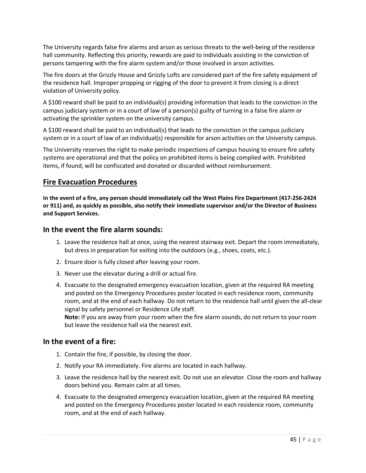The University regards false fire alarms and arson as serious threats to the well-being of the residence hall community. Reflecting this priority, rewards are paid to individuals assisting in the conviction of persons tampering with the fire alarm system and/or those involved in arson activities.

The fire doors at the Grizzly House and Grizzly Lofts are considered part of the fire safety equipment of the residence hall. Improper propping or rigging of the door to prevent it from closing is a direct violation of University policy.

A \$100 reward shall be paid to an individual(s) providing information that leads to the conviction in the campus judiciary system or in a court of law of a person(s) guilty of turning in a false fire alarm or activating the sprinkler system on the university campus.

A \$100 reward shall be paid to an individual(s) that leads to the conviction in the campus judiciary system or in a court of law of an individual(s) responsible for arson activities on the University campus.

The University reserves the right to make periodic inspections of campus housing to ensure fire safety systems are operational and that the policy on prohibited items is being complied with. Prohibited items, if found, will be confiscated and donated or discarded without reimbursement.

# **Fire Evacuation Procedures**

**In the event of a fire, any person should immediately call the West Plains Fire Department (417-256-2424 or 911) and, as quickly as possible, also notify their immediate supervisor and/or the Director of Business and Support Services.**

# **In the event the fire alarm sounds:**

- 1. Leave the residence hall at once, using the nearest stairway exit. Depart the room immediately, but dress in preparation for exiting into the outdoors (e.g., shoes, coats, etc.).
- 2. Ensure door is fully closed after leaving your room.
- 3. Never use the elevator during a drill or actual fire.
- 4. Evacuate to the designated emergency evacuation location, given at the required RA meeting and posted on the Emergency Procedures poster located in each residence room, community room, and at the end of each hallway. Do not return to the residence hall until given the all-clear signal by safety personnel or Residence Life staff. **Note:** If you are away from your room when the fire alarm sounds, do not return to your room

but leave the residence hall via the nearest exit.

# **In the event of a fire:**

- 1. Contain the fire, if possible, by closing the door.
- 2. Notify your RA immediately. Fire alarms are located in each hallway.
- 3. Leave the residence hall by the nearest exit. Do not use an elevator. Close the room and hallway doors behind you. Remain calm at all times.
- 4. Evacuate to the designated emergency evacuation location, given at the required RA meeting and posted on the Emergency Procedures poster located in each residence room, community room, and at the end of each hallway.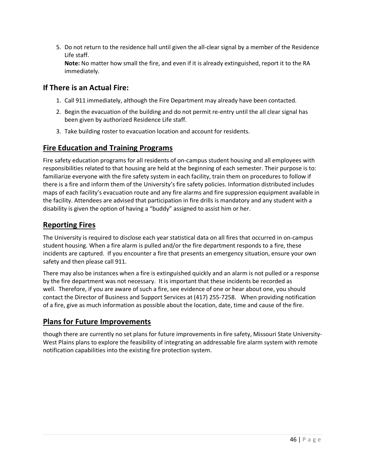5. Do not return to the residence hall until given the all-clear signal by a member of the Residence Life staff.

**Note:** No matter how small the fire, and even if it is already extinguished, report it to the RA immediately.

# **If There is an Actual Fire:**

- 1. Call 911 immediately, although the Fire Department may already have been contacted.
- 2. Begin the evacuation of the building and do not permit re-entry until the all clear signal has been given by authorized Residence Life staff.
- 3. Take building roster to evacuation location and account for residents.

# **Fire Education and Training Programs**

Fire safety education programs for all residents of on-campus student housing and all employees with responsibilities related to that housing are held at the beginning of each semester. Their purpose is to: familiarize everyone with the fire safety system in each facility, train them on procedures to follow if there is a fire and inform them of the University's fire safety policies. Information distributed includes maps of each facility's evacuation route and any fire alarms and fire suppression equipment available in the facility. Attendees are advised that participation in fire drills is mandatory and any student with a disability is given the option of having a "buddy" assigned to assist him or her.

# **Reporting Fires**

The University is required to disclose each year statistical data on all fires that occurred in on-campus student housing. When a fire alarm is pulled and/or the fire department responds to a fire, these incidents are captured. If you encounter a fire that presents an emergency situation, ensure your own safety and then please call 911.

There may also be instances when a fire is extinguished quickly and an alarm is not pulled or a response by the fire department was not necessary. It is important that these incidents be recorded as well. Therefore, if you are aware of such a fire, see evidence of one or hear about one, you should contact the Director of Business and Support Services at (417) 255-7258. When providing notification of a fire, give as much information as possible about the location, date, time and cause of the fire.

# **Plans for Future Improvements**

though there are currently no set plans for future improvements in fire safety, Missouri State University-West Plains plans to explore the feasibility of integrating an addressable fire alarm system with remote notification capabilities into the existing fire protection system.